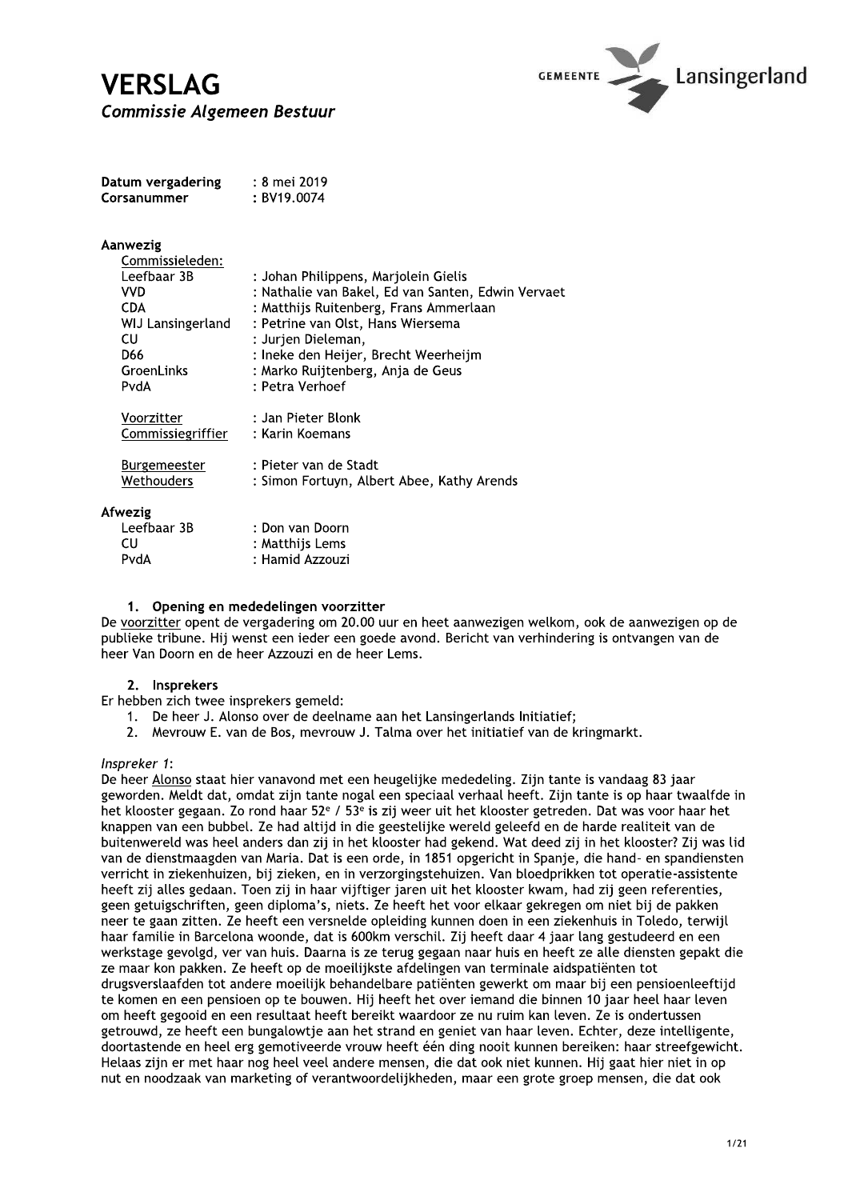# **VERSLAG Commissie Algemeen Bestuur**



| Datum vergadering | : 8 mei 2019 |
|-------------------|--------------|
| Corsanummer       | : BV19.0074  |

| Aanwezig |
|----------|
|----------|

| : Johan Philippens, Marjolein Gielis               |
|----------------------------------------------------|
| : Nathalie van Bakel, Ed van Santen, Edwin Vervaet |
| : Matthijs Ruitenberg, Frans Ammerlaan             |
| : Petrine van Olst, Hans Wiersema                  |
| : Jurjen Dieleman,                                 |
| : Ineke den Heijer, Brecht Weerheijm               |
| : Marko Ruijtenberg, Anja de Geus                  |
| : Petra Verhoef                                    |
| : Jan Pieter Blonk                                 |
| : Karin Koemans                                    |
| : Pieter van de Stadt                              |
| : Simon Fortuyn, Albert Abee, Kathy Arends         |
|                                                    |
| : Don van Doorn                                    |
| : Matthijs Lems                                    |
| : Hamid Azzouzi                                    |
|                                                    |

## 1. Opening en mededelingen voorzitter

De voorzitter opent de vergadering om 20.00 uur en heet aanwezigen welkom, ook de aanwezigen op de publieke tribune. Hij wenst een ieder een goede avond. Bericht van verhindering is ontvangen van de heer Van Doorn en de heer Azzouzi en de heer Lems.

## 2. Insprekers

Er hebben zich twee insprekers gemeld:

- 1. De heer J. Alonso over de deelname aan het Lansingerlands Initiatief:
- Meyrouw E. van de Bos, meyrouw J. Talma over het initiatief van de kringmarkt.  $2<sup>1</sup>$

## Inspreker 1:

De heer Alonso staat hier vanavond met een heugelijke mededeling. Zijn tante is vandaag 83 jaar geworden. Meldt dat, omdat zijn tante nogal een speciaal verhaal heeft. Zijn tante is op haar twaalfde in het klooster gegaan. Zo rond haar 52<sup>e</sup> / 53<sup>e</sup> is zij weer uit het klooster getreden. Dat was voor haar het knappen van een bubbel. Ze had altijd in die geestelijke wereld geleefd en de harde realiteit van de buitenwereld was heel anders dan zij in het klooster had gekend. Wat deed zij in het klooster? Zij was lid van de dienstmaagden van Maria. Dat is een orde, in 1851 opgericht in Spanje, die hand- en spandiensten verricht in ziekenhuizen, bij zieken, en in verzorgingstehuizen. Van bloedprikken tot operatie-assistente heeft zij alles gedaan. Toen zij in haar vijftiger jaren uit het klooster kwam, had zij geen referenties, geen getuigschriften, geen diploma's, niets. Ze heeft het voor elkaar gekregen om niet bij de pakken neer te gaan zitten. Ze heeft een versnelde opleiding kunnen doen in een ziekenhuis in Toledo, terwijl haar familie in Barcelona woonde, dat is 600km verschil. Zij heeft daar 4 jaar lang gestudeerd en een werkstage gevolgd, ver van huis. Daarna is ze terug gegaan naar huis en heeft ze alle diensten gepakt die ze maar kon pakken. Ze heeft op de moeilijkste afdelingen van terminale aidspatiënten tot drugsverslaafden tot andere moeilijk behandelbare patiënten gewerkt om maar bij een pensioenleeftijd te komen en een pensioen op te bouwen. Hij heeft het over iemand die binnen 10 jaar heel haar leven om heeft gegooid en een resultaat heeft bereikt waardoor ze nu ruim kan leven. Ze is ondertussen getrouwd, ze heeft een bungalowtje aan het strand en geniet van haar leven. Echter, deze intelligente, doortastende en heel erg gemotiveerde vrouw heeft één ding nooit kunnen bereiken: haar streefgewicht. Helaas zijn er met haar nog heel veel andere mensen, die dat ook niet kunnen. Hij gaat hier niet in op nut en noodzaak van marketing of verantwoordelijkheden, maar een grote groep mensen, die dat ook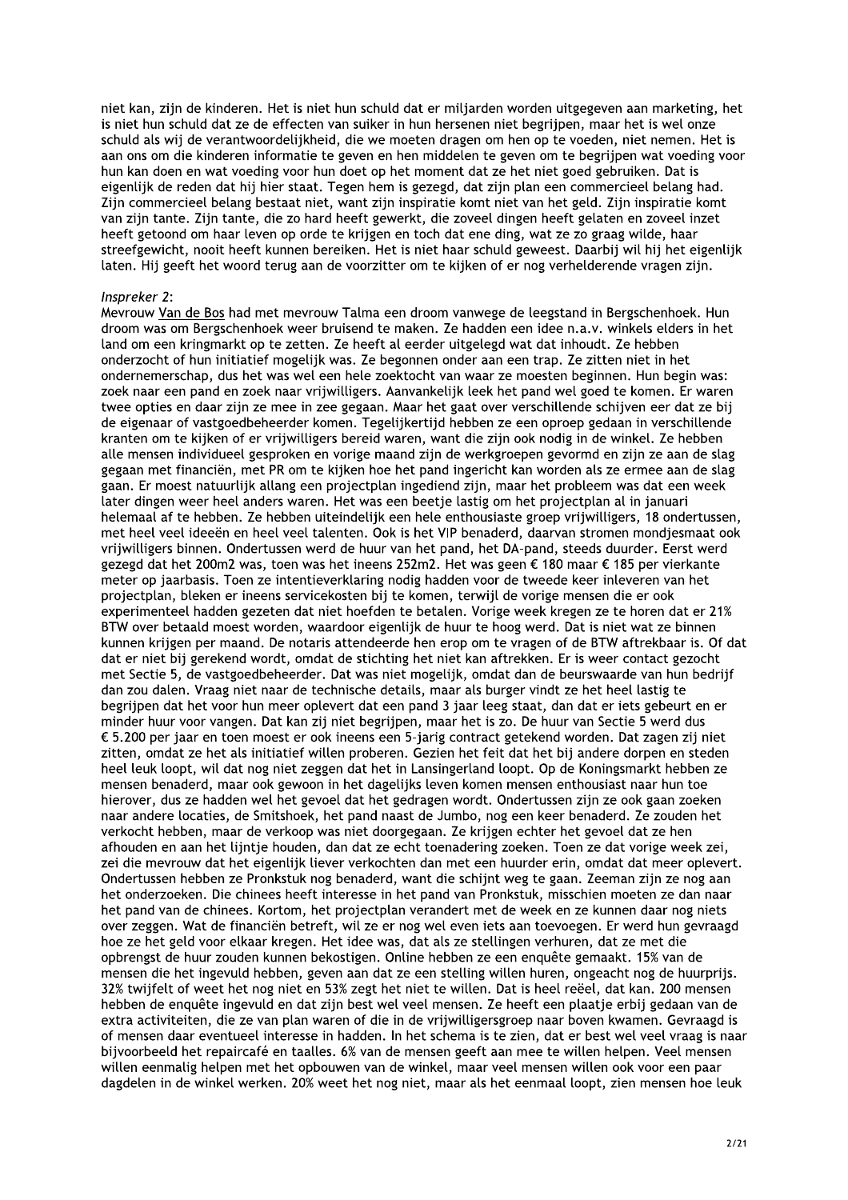niet kan, zijn de kinderen. Het is niet hun schuld dat er miliarden worden uitgegeven aan marketing, het is niet hun schuld dat ze de effecten van suiker in hun hersenen niet begrijpen, maar het is wel onze schuld als wij de verantwoordelijkheid, die we moeten dragen om hen op te voeden, niet nemen. Het is aan ons om die kinderen informatie te geven en hen middelen te geven om te begrijpen wat voeding voor hun kan doen en wat voeding voor hun doet op het moment dat ze het niet goed gebruiken. Dat is eigenlijk de reden dat hij hier staat. Tegen hem is gezegd, dat zijn plan een commercieel belang had. Zijn commercieel belang bestaat niet, want zijn inspiratie komt niet van het geld. Zijn inspiratie komt van zijn tante. Zijn tante, die zo hard heeft gewerkt, die zoveel dingen heeft gelaten en zoveel inzet heeft getoond om haar leven op orde te krijgen en toch dat ene ding, wat ze zo graag wilde, haar streefgewicht, nooit heeft kunnen bereiken. Het is niet haar schuld geweest. Daarbij wil hij het eigenlijk laten. Hij geeft het woord terug aan de voorzitter om te kijken of er nog verhelderende vragen zijn.

#### Inspreker 2:

Mevrouw Van de Bos had met mevrouw Talma een droom vanwege de leegstand in Bergschenhoek. Hun droom was om Bergschenhoek weer bruisend te maken. Ze hadden een idee n.a.v. winkels elders in het land om een kringmarkt op te zetten. Ze heeft al eerder uitgelegd wat dat inhoudt. Ze hebben onderzocht of hun initiatief mogelijk was. Ze begonnen onder aan een trap. Ze zitten niet in het ondernemerschap, dus het was wel een hele zoektocht van waar ze moesten beginnen. Hun begin was: zoek naar een pand en zoek naar vrijwilligers. Aanvankelijk leek het pand wel goed te komen. Er waren twee opties en daar zijn ze mee in zee gegaan. Maar het gaat over verschillende schijven eer dat ze bij de eigenaar of vastgoedbeheerder komen. Tegelijkertijd hebben ze een oproep gedaan in verschillende kranten om te kijken of er vrijwilligers bereid waren, want die zijn ook nodig in de winkel. Ze hebben alle mensen individueel gesproken en vorige maand zijn de werkgroepen gevormd en zijn ze aan de slag gegaan met financiën, met PR om te kijken hoe het pand ingericht kan worden als ze ermee aan de slag gaan. Er moest natuurlijk allang een projectplan ingediend zijn, maar het probleem was dat een week later dingen weer heel anders waren. Het was een beetje lastig om het projectplan al in januari helemaal af te hebben. Ze hebben uiteindelijk een hele enthousiaste groep vrijwilligers, 18 ondertussen, met heel veel ideeën en heel veel talenten. Ook is het VIP benaderd, daarvan stromen mondjesmaat ook vrijwilligers binnen. Ondertussen werd de huur van het pand, het DA-pand, steeds duurder. Eerst werd gezegd dat het 200m2 was, toen was het ineens 252m2. Het was geen € 180 maar € 185 per vierkante meter op jaarbasis. Toen ze intentieverklaring nodig hadden voor de tweede keer inleveren van het projectplan, bleken er ineens servicekosten bij te komen, terwijl de vorige mensen die er ook experimenteel hadden gezeten dat niet hoefden te betalen. Vorige week kregen ze te horen dat er 21% BTW over betaald moest worden, waardoor eigenlijk de huur te hoog werd. Dat is niet wat ze binnen kunnen krijgen per maand. De notaris attendeerde hen erop om te vragen of de BTW aftrekbaar is. Of dat dat er niet bij gerekend wordt, omdat de stichting het niet kan aftrekken. Er is weer contact gezocht met Sectie 5, de vastgoedbeheerder. Dat was niet mogelijk, omdat dan de beurswaarde van hun bedrijf dan zou dalen. Vraag niet naar de technische details, maar als burger vindt ze het heel lastig te begrijpen dat het voor hun meer oplevert dat een pand 3 jaar leeg staat, dan dat er iets gebeurt en er minder huur voor vangen. Dat kan zij niet begrijpen, maar het is zo. De huur van Sectie 5 werd dus € 5.200 per jaar en toen moest er ook ineens een 5-jarig contract getekend worden. Dat zagen zij niet zitten, omdat ze het als initiatief willen proberen. Gezien het feit dat het bij andere dorpen en steden heel leuk loopt, wil dat nog niet zeggen dat het in Lansingerland loopt. Op de Koningsmarkt hebben ze mensen benaderd, maar ook gewoon in het dagelijks leven komen mensen enthousiast naar hun toe hierover, dus ze hadden wel het gevoel dat het gedragen wordt. Ondertussen zijn ze ook gaan zoeken naar andere locaties, de Smitshoek, het pand naast de Jumbo, nog een keer benaderd. Ze zouden het verkocht hebben, maar de verkoop was niet doorgegaan. Ze krijgen echter het gevoel dat ze hen afhouden en aan het lijntje houden, dan dat ze echt toenadering zoeken. Toen ze dat vorige week zei, zei die mevrouw dat het eigenlijk liever verkochten dan met een huurder erin, omdat dat meer oplevert. Ondertussen hebben ze Pronkstuk nog benaderd, want die schijnt weg te gaan. Zeeman zijn ze nog aan het onderzoeken. Die chinees heeft interesse in het pand van Pronkstuk, misschien moeten ze dan naar het pand van de chinees. Kortom, het projectplan verandert met de week en ze kunnen daar nog niets over zeggen. Wat de financiën betreft, wil ze er nog wel even iets aan toevoegen. Er werd hun gevraagd hoe ze het geld voor elkaar kregen. Het idee was, dat als ze stellingen verhuren, dat ze met die opbrengst de huur zouden kunnen bekostigen. Online hebben ze een enquête gemaakt. 15% van de mensen die het ingevuld hebben, geven aan dat ze een stelling willen huren, ongeacht nog de huurprijs. 32% twijfelt of weet het nog niet en 53% zegt het niet te willen. Dat is heel reëel, dat kan. 200 mensen hebben de enquête ingevuld en dat zijn best wel veel mensen. Ze heeft een plaatje erbij gedaan van de extra activiteiten, die ze van plan waren of die in de vrijwilligersgroep naar boven kwamen. Gevraagd is of mensen daar eventueel interesse in hadden. In het schema is te zien, dat er best wel veel vraag is naar bijvoorbeeld het repaircafé en taalles. 6% van de mensen geeft aan mee te willen helpen. Veel mensen willen eenmalig helpen met het opbouwen van de winkel, maar veel mensen willen ook voor een paar dagdelen in de winkel werken. 20% weet het nog niet, maar als het eenmaal loopt, zien mensen hoe leuk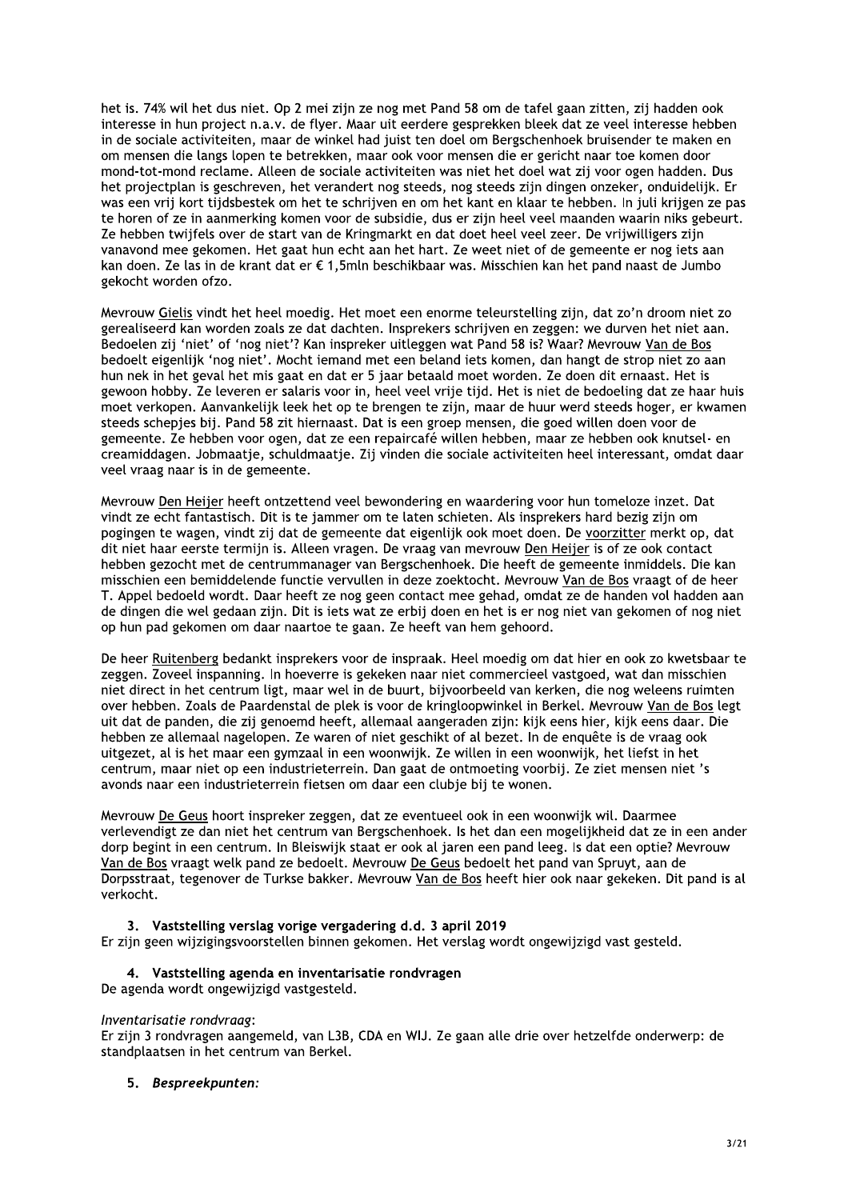het is. 74% wil het dus niet. Op 2 mei zijn ze nog met Pand 58 om de tafel gaan zitten, zij hadden ook interesse in hun project n.a.v. de flyer. Maar uit eerdere gesprekken bleek dat ze veel interesse hebben in de sociale activiteiten, maar de winkel had juist ten doel om Bergschenhoek bruisender te maken en om mensen die langs lopen te betrekken, maar ook voor mensen die er gericht naar toe komen door mond-tot-mond reclame. Alleen de sociale activiteiten was niet het doel wat zij voor ogen hadden. Dus het projectplan is geschreven, het verandert nog steeds, nog steeds zijn dingen onzeker, onduidelijk. Er was een vrij kort tijdsbestek om het te schrijven en om het kant en klaar te hebben. In juli krijgen ze pas te horen of ze in aanmerking komen voor de subsidie, dus er zijn heel veel maanden waarin niks gebeurt. Ze hebben twijfels over de start van de Kringmarkt en dat doet heel veel zeer. De vrijwilligers zijn vanavond mee gekomen. Het gaat hun echt aan het hart. Ze weet niet of de gemeente er nog iets aan kan doen. Ze las in de krant dat er € 1,5mln beschikbaar was. Misschien kan het pand naast de Jumbo gekocht worden ofzo.

Mevrouw Gielis vindt het heel moedig. Het moet een enorme teleurstelling zijn, dat zo'n droom niet zo gerealiseerd kan worden zoals ze dat dachten. Insprekers schrijven en zeggen: we durven het niet aan. Bedoelen zij 'niet' of 'nog niet'? Kan inspreker uitleggen wat Pand 58 is? Waar? Mevrouw Van de Bos bedoelt eigenlijk 'nog niet'. Mocht iemand met een beland iets komen, dan hangt de strop niet zo aan hun nek in het geval het mis gaat en dat er 5 jaar betaald moet worden. Ze doen dit ernaast. Het is gewoon hobby. Ze leveren er salaris voor in, heel veel vrije tijd. Het is niet de bedoeling dat ze haar huis moet verkopen. Aanvankelijk leek het op te brengen te zijn, maar de huur werd steeds hoger, er kwamen steeds schepjes bij. Pand 58 zit hiernaast. Dat is een groep mensen, die goed willen doen voor de gemeente. Ze hebben voor ogen, dat ze een repaircafé willen hebben, maar ze hebben ook knutsel- en creamiddagen. Jobmaatje, schuldmaatje. Zij vinden die sociale activiteiten heel interessant, omdat daar veel vraag naar is in de gemeente.

Mevrouw Den Heijer heeft ontzettend veel bewondering en waardering voor hun tomeloze inzet. Dat vindt ze echt fantastisch. Dit is te jammer om te laten schieten. Als insprekers hard bezig zijn om pogingen te wagen, vindt zij dat de gemeente dat eigenlijk ook moet doen. De voorzitter merkt op, dat dit niet haar eerste termijn is. Alleen vragen. De vraag van mevrouw Den Heijer is of ze ook contact hebben gezocht met de centrummanager van Bergschenhoek. Die heeft de gemeente inmiddels. Die kan misschien een bemiddelende functie vervullen in deze zoektocht. Mevrouw Van de Bos vraagt of de heer T. Appel bedoeld wordt. Daar heeft ze nog geen contact mee gehad, omdat ze de handen vol hadden aan de dingen die wel gedaan zijn. Dit is iets wat ze erbij doen en het is er nog niet van gekomen of nog niet op hun pad gekomen om daar naartoe te gaan. Ze heeft van hem gehoord.

De heer Ruitenberg bedankt insprekers voor de inspraak. Heel moedig om dat hier en ook zo kwetsbaar te zeggen. Zoveel inspanning. In hoeverre is gekeken naar niet commercieel vastgoed, wat dan misschien niet direct in het centrum ligt, maar wel in de buurt, bijvoorbeeld van kerken, die nog weleens ruimten over hebben. Zoals de Paardenstal de plek is voor de kringloopwinkel in Berkel. Mevrouw Van de Bos legt uit dat de panden, die zij genoemd heeft, allemaal aangeraden zijn: kijk eens hier, kijk eens daar. Die hebben ze allemaal nagelopen. Ze waren of niet geschikt of al bezet. In de enquête is de vraag ook uitgezet, al is het maar een gymzaal in een woonwijk. Ze willen in een woonwijk, het liefst in het centrum, maar niet op een industrieterrein. Dan gaat de ontmoeting voorbij. Ze ziet mensen niet 's avonds naar een industrieterrein fietsen om daar een clubje bij te wonen.

Mevrouw De Geus hoort inspreker zeggen, dat ze eventueel ook in een woonwijk wil. Daarmee verlevendigt ze dan niet het centrum van Bergschenhoek. Is het dan een mogelijkheid dat ze in een ander dorp begint in een centrum. In Bleiswijk staat er ook al jaren een pand leeg. Is dat een optie? Mevrouw Van de Bos vraagt welk pand ze bedoelt. Mevrouw De Geus bedoelt het pand van Spruyt, aan de Dorpsstraat, tegenover de Turkse bakker. Mevrouw Van de Bos heeft hier ook naar gekeken. Dit pand is al verkocht.

## 3. Vaststelling verslag vorige vergadering d.d. 3 april 2019

Er zijn geen wijzigingsvoorstellen binnen gekomen. Het verslag wordt ongewijzigd vast gesteld.

## 4. Vaststelling agenda en inventarisatie rondvragen

De agenda wordt ongewijzigd vastgesteld.

## Inventarisatie rondvraag:

Er zijn 3 rondvragen aangemeld, van L3B, CDA en WIJ. Ze gaan alle drie over hetzelfde onderwerp: de standplaatsen in het centrum van Berkel.

## 5. Bespreekpunten: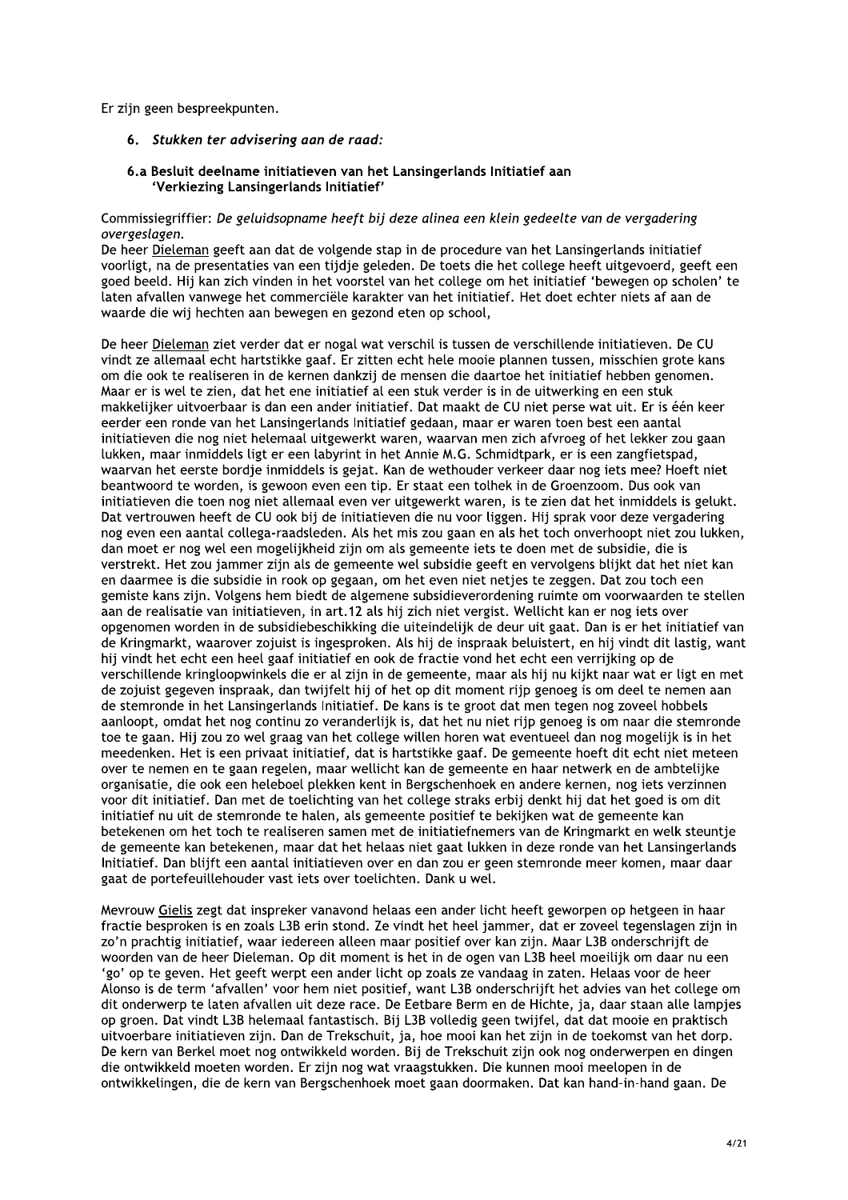Er zijn geen bespreekpunten.

- 6. Stukken ter advisering aan de raad:
- 6.a Besluit deelname initiatieven van het Lansingerlands Initiatief aan 'Verkiezing Lansingerlands Initiatief'

## Commissiegriffier: De geluidsopname heeft bij deze alinea een klein gedeelte van de vergadering overgeslagen.

De heer Dieleman geeft aan dat de volgende stap in de procedure van het Lansingerlands initiatief voorligt, na de presentaties van een tijdje geleden. De toets die het college heeft uitgevoerd, geeft een goed beeld. Hij kan zich vinden in het voorstel van het college om het initiatief 'bewegen op scholen' te laten afvallen vanwege het commerciële karakter van het initiatief. Het doet echter niets af aan de waarde die wij hechten aan bewegen en gezond eten op school,

De heer Dieleman ziet verder dat er nogal wat verschil is tussen de verschillende initiatieven. De CU vindt ze allemaal echt hartstikke gaaf. Er zitten echt hele mooie plannen tussen, misschien grote kans om die ook te realiseren in de kernen dankzij de mensen die daartoe het initiatief hebben genomen. Maar er is wel te zien, dat het ene initiatief al een stuk verder is in de uitwerking en een stuk makkelijker uitvoerbaar is dan een ander initiatief. Dat maakt de CU niet perse wat uit. Er is één keer eerder een ronde van het Lansingerlands Initiatief gedaan, maar er waren toen best een aantal initiatieven die nog niet helemaal uitgewerkt waren, waarvan men zich afvroeg of het lekker zou gaan lukken, maar inmiddels ligt er een labyrint in het Annie M.G. Schmidtpark, er is een zangfietspad, waarvan het eerste bordje inmiddels is gejat. Kan de wethouder verkeer daar nog iets mee? Hoeft niet beantwoord te worden, is gewoon even een tip. Er staat een tolhek in de Groenzoom. Dus ook van initiatieven die toen nog niet allemaal even ver uitgewerkt waren, is te zien dat het inmiddels is gelukt. Dat vertrouwen heeft de CU ook bij de initiatieven die nu voor liggen. Hij sprak voor deze vergadering nog even een aantal collega-raadsleden. Als het mis zou gaan en als het toch onverhoopt niet zou lukken, dan moet er nog wel een mogelijkheid zijn om als gemeente iets te doen met de subsidie, die is verstrekt. Het zou jammer zijn als de gemeente wel subsidie geeft en vervolgens blijkt dat het niet kan en daarmee is die subsidie in rook op gegaan, om het even niet netjes te zeggen. Dat zou toch een gemiste kans zijn. Volgens hem biedt de algemene subsidieverordening ruimte om voorwaarden te stellen aan de realisatie van initiatieven, in art.12 als hij zich niet vergist. Wellicht kan er nog iets over opgenomen worden in de subsidiebeschikking die uiteindelijk de deur uit gaat. Dan is er het initiatief van de Kringmarkt, waarover zojuist is ingesproken. Als hij de inspraak beluistert, en hij vindt dit lastig, want hij vindt het echt een heel gaaf initiatief en ook de fractie vond het echt een verrijking op de verschillende kringloopwinkels die er al zijn in de gemeente, maar als hij nu kijkt naar wat er ligt en met de zojuist gegeven inspraak, dan twijfelt hij of het op dit moment rijp genoeg is om deel te nemen aan de stemronde in het Lansingerlands Initiatief. De kans is te groot dat men tegen nog zoveel hobbels aanloopt, omdat het nog continu zo veranderlijk is, dat het nu niet rijp genoeg is om naar die stemronde toe te gaan. Hij zou zo wel graag van het college willen horen wat eventueel dan nog mogelijk is in het meedenken. Het is een privaat initiatief, dat is hartstikke gaaf. De gemeente hoeft dit echt niet meteen over te nemen en te gaan regelen, maar wellicht kan de gemeente en haar netwerk en de ambtelijke organisatie, die ook een heleboel plekken kent in Bergschenhoek en andere kernen, nog jets verzinnen voor dit initiatief. Dan met de toelichting van het college straks erbij denkt hij dat het goed is om dit initiatief nu uit de stemronde te halen, als gemeente positief te bekijken wat de gemeente kan betekenen om het toch te realiseren samen met de initiatiefnemers van de Kringmarkt en welk steuntje de gemeente kan betekenen, maar dat het helaas niet gaat lukken in deze ronde van het Lansingerlands Initiatief. Dan blijft een aantal initiatieven over en dan zou er geen stemronde meer komen, maar daar gaat de portefeuillehouder vast iets over toelichten. Dank u wel.

Mevrouw Gielis zegt dat inspreker vanavond helaas een ander licht heeft geworpen op hetgeen in haar fractie besproken is en zoals L3B erin stond. Ze vindt het heel jammer, dat er zoveel tegenslagen zijn in zo'n prachtig initiatief, waar iedereen alleen maar positief over kan zijn. Maar L3B onderschrijft de woorden van de heer Dieleman. Op dit moment is het in de ogen van L3B heel moeilijk om daar nu een 'go' op te geven. Het geeft werpt een ander licht op zoals ze vandaag in zaten. Helaas voor de heer Alonso is de term 'afvallen' voor hem niet positief, want L3B onderschrijft het advies van het college om dit onderwerp te laten afvallen uit deze race. De Eetbare Berm en de Hichte, ja, daar staan alle lampjes op groen. Dat vindt L3B helemaal fantastisch. Bij L3B volledig geen twijfel, dat dat mooie en praktisch uitvoerbare initiatieven zijn. Dan de Trekschuit, ja, hoe mooi kan het zijn in de toekomst van het dorp. De kern van Berkel moet nog ontwikkeld worden. Bij de Trekschuit zijn ook nog onderwerpen en dingen die ontwikkeld moeten worden. Er zijn nog wat vraagstukken. Die kunnen mooi meelopen in de ontwikkelingen, die de kern van Bergschenhoek moet gaan doormaken. Dat kan hand-in-hand gaan. De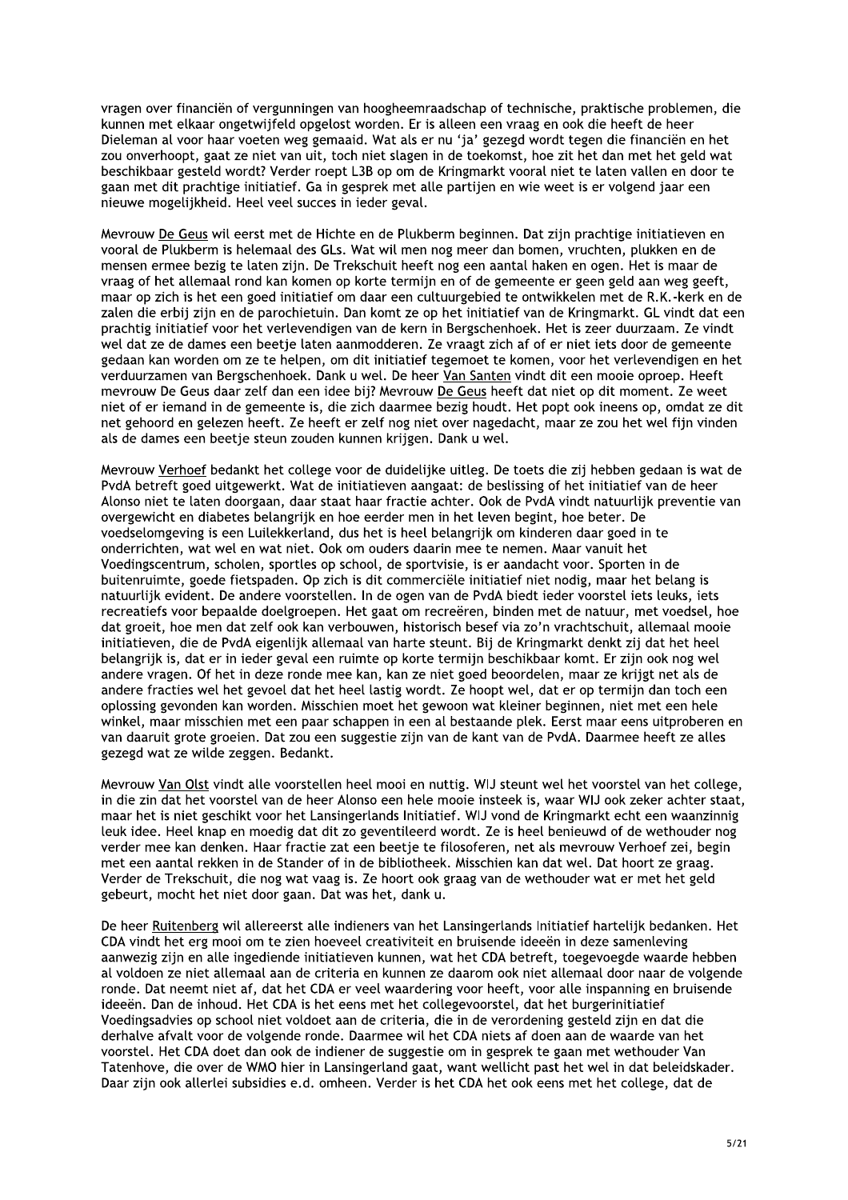yragen over financiën of vergunningen van hoogheemraadschap of technische, praktische problemen, die kunnen met elkaar ongetwijfeld opgelost worden. Er is alleen een vraag en ook die heeft de heer Dieleman al voor haar voeten weg gemaaid. Wat als er nu 'ja' gezegd wordt tegen die financiën en het zou onverhoopt, gaat ze niet van uit, toch niet slagen in de toekomst, hoe zit het dan met het geld wat beschikbaar gesteld wordt? Verder roept L3B op om de Kringmarkt vooral niet te laten vallen en door te gaan met dit prachtige initiatief. Ga in gesprek met alle partijen en wie weet is er volgend jaar een nieuwe mogelijkheid. Heel veel succes in ieder geval.

Mevrouw De Geus wil eerst met de Hichte en de Plukberm beginnen. Dat zijn prachtige initiatieven en vooral de Plukberm is helemaal des GLs. Wat wil men nog meer dan bomen, vruchten, plukken en de mensen ermee bezig te laten zijn. De Trekschuit heeft nog een aantal haken en ogen. Het is maar de vraag of het allemaal rond kan komen op korte termijn en of de gemeente er geen geld aan weg geeft, maar op zich is het een goed initiatief om daar een cultuurgebied te ontwikkelen met de R.K.-kerk en de zalen die erbij zijn en de parochietuin. Dan komt ze op het initiatief van de Kringmarkt. GL vindt dat een prachtig initiatief voor het verlevendigen van de kern in Bergschenhoek. Het is zeer duurzaam. Ze vindt wel dat ze de dames een beetie laten aanmodderen. Ze vraagt zich af of er niet iets door de gemeente gedaan kan worden om ze te helpen, om dit initiatief tegemoet te komen, voor het verlevendigen en het verduurzamen van Bergschenhoek. Dank u wel. De heer Van Santen vindt dit een mooie oproep. Heeft mevrouw De Geus daar zelf dan een idee bij? Mevrouw De Geus heeft dat niet op dit moment. Ze weet niet of er iemand in de gemeente is, die zich daarmee bezig houdt. Het popt ook ineens op, omdat ze dit net gehoord en gelezen heeft. Ze heeft er zelf nog niet over nagedacht, maar ze zou het wel fijn vinden als de dames een beetje steun zouden kunnen krijgen. Dank u wel.

Mevrouw Verhoef bedankt het college voor de duidelijke uitleg. De toets die zij hebben gedaan is wat de PvdA betreft goed uitgewerkt. Wat de initiatieven aangaat: de beslissing of het initiatief van de heer Alonso niet te laten doorgaan, daar staat haar fractie achter. Ook de PvdA vindt natuurlijk preventie van overgewicht en diabetes belangrijk en hoe eerder men in het leven begint, hoe beter. De voedselomgeving is een Luilekkerland, dus het is heel belangrijk om kinderen daar goed in te onderrichten, wat wel en wat niet. Ook om ouders daarin mee te nemen. Maar vanuit het Voedingscentrum, scholen, sportles op school, de sportvisie, is er aandacht voor. Sporten in de buitenruimte, goede fietspaden. Op zich is dit commerciële initiatief niet nodig, maar het belang is natuurlijk evident. De andere voorstellen. In de ogen van de PvdA biedt ieder voorstel iets leuks, iets recreatiefs voor bepaalde doelgroepen. Het gaat om recreëren, binden met de natuur, met voedsel, hoe dat groeit, hoe men dat zelf ook kan verbouwen, historisch besef via zo'n vrachtschuit, allemaal mooie initiatieven, die de PvdA eigenlijk allemaal van harte steunt. Bij de Kringmarkt denkt zij dat het heel belangrijk is, dat er in ieder geval een ruimte op korte termijn beschikbaar komt. Er zijn ook nog wel andere vragen. Of het in deze ronde mee kan, kan ze niet goed beoordelen, maar ze krijgt net als de andere fracties wel het gevoel dat het heel lastig wordt. Ze hoopt wel, dat er op termijn dan toch een oplossing gevonden kan worden. Misschien moet het gewoon wat kleiner beginnen, niet met een hele winkel, maar misschien met een paar schappen in een al bestaande plek. Eerst maar eens uitproberen en van daaruit grote groeien. Dat zou een suggestie zijn van de kant van de PvdA. Daarmee heeft ze alles gezegd wat ze wilde zeggen. Bedankt.

Mevrouw Van Olst vindt alle voorstellen heel mooi en nuttig. WIJ steunt wel het voorstel van het college, in die zin dat het voorstel van de heer Alonso een hele mooie insteek is, waar WIJ ook zeker achter staat, maar het is niet geschikt voor het Lansingerlands Initiatief. WIJ vond de Kringmarkt echt een waanzinnig leuk idee. Heel knap en moedig dat dit zo geventileerd wordt. Ze is heel benieuwd of de wethouder nog verder mee kan denken. Haar fractie zat een beetje te filosoferen, net als mevrouw Verhoef zei, begin met een aantal rekken in de Stander of in de bibliotheek. Misschien kan dat wel. Dat hoort ze graag. Verder de Trekschuit, die nog wat vaag is. Ze hoort ook graag van de wethouder wat er met het geld gebeurt, mocht het niet door gaan. Dat was het, dank u.

De heer Ruitenberg wil allereerst alle indieners van het Lansingerlands Initiatief hartelijk bedanken. Het CDA vindt het erg mooi om te zien hoeveel creativiteit en bruisende ideeën in deze samenleving aanwezig zijn en alle ingediende initiatieven kunnen, wat het CDA betreft, toegevoegde waarde hebben al voldoen ze niet allemaal aan de criteria en kunnen ze daarom ook niet allemaal door naar de volgende ronde. Dat neemt niet af, dat het CDA er veel waardering voor heeft, voor alle inspanning en bruisende ideeën. Dan de inhoud. Het CDA is het eens met het collegevoorstel, dat het burgerinitiatief Voedingsadvies op school niet voldoet aan de criteria, die in de verordening gesteld zijn en dat die derhalve afvalt voor de volgende ronde. Daarmee wil het CDA niets af doen aan de waarde van het voorstel. Het CDA doet dan ook de indiener de suggestie om in gesprek te gaan met wethouder Van Tatenhove, die over de WMO hier in Lansingerland gaat, want wellicht past het wel in dat beleidskader. Daar zijn ook allerlei subsidies e.d. omheen. Verder is het CDA het ook eens met het college, dat de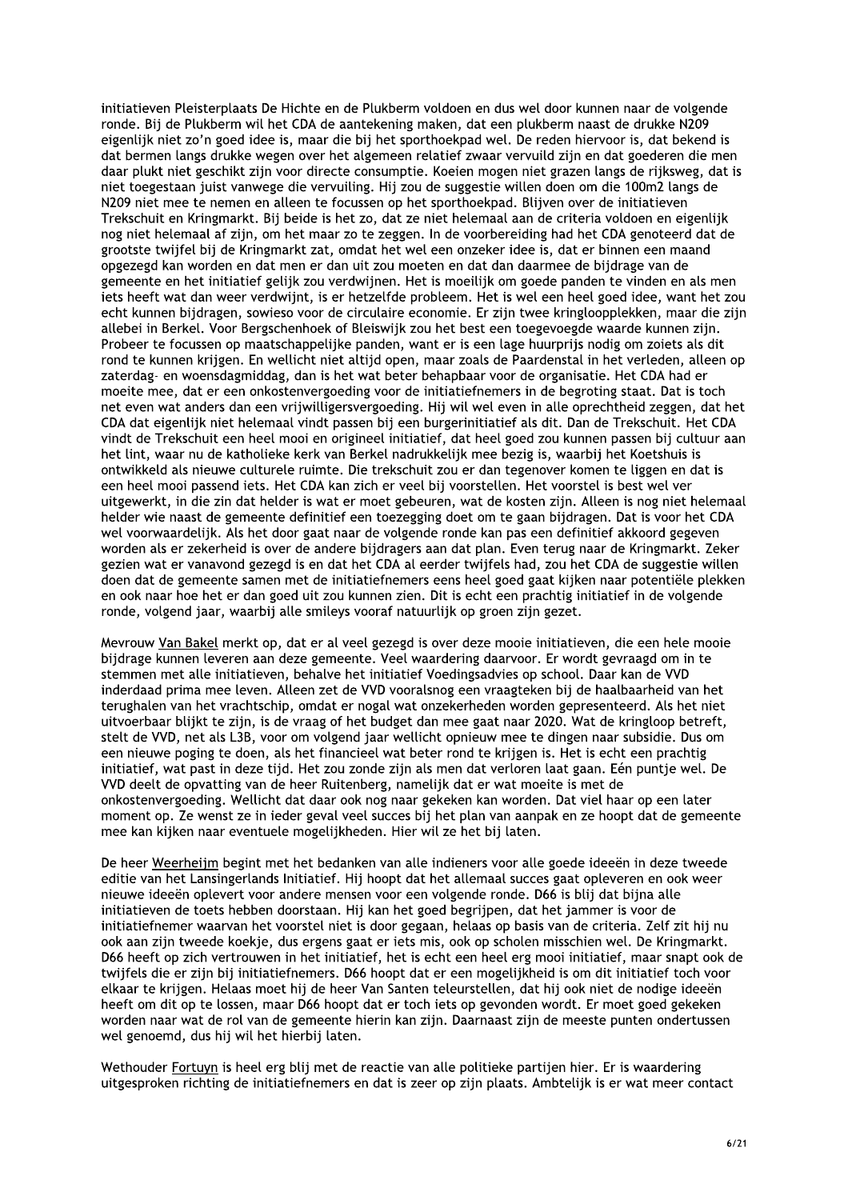initiatieven Pleisterplaats De Hichte en de Plukberm voldoen en dus wel door kunnen naar de volgende ronde. Bij de Plukberm wil het CDA de aantekening maken, dat een plukberm naast de drukke N209 eigenlijk niet zo'n goed idee is, maar die bij het sporthoekpad wel. De reden hiervoor is, dat bekend is dat bermen langs drukke wegen over het algemeen relatief zwaar vervuild zijn en dat goederen die men daar plukt niet geschikt zijn voor directe consumptie. Koeien mogen niet grazen langs de rijksweg, dat is niet toegestaan juist vanwege die vervuiling. Hij zou de suggestie willen doen om die 100m2 langs de N209 niet mee te nemen en alleen te focussen op het sporthoekpad. Blijven over de initiatieven Trekschuit en Kringmarkt. Bij beide is het zo, dat ze niet helemaal aan de criteria voldoen en eigenlijk nog niet helemaal af zijn, om het maar zo te zeggen. In de voorbereiding had het CDA genoteerd dat de grootste twijfel bij de Kringmarkt zat, omdat het wel een onzeker idee is, dat er binnen een maand opgezegd kan worden en dat men er dan uit zou moeten en dat dan daarmee de bijdrage van de gemeente en het initiatief gelijk zou verdwijnen. Het is moeilijk om goede panden te vinden en als men jets heeft wat dan weer verdwijnt, is er hetzelfde probleem. Het is wel een heel goed idee, want het zou echt kunnen bijdragen, sowieso voor de circulaire economie. Er zijn twee kringloopplekken, maar die zijn allebei in Berkel. Voor Bergschenhoek of Bleiswijk zou het best een toegevoegde waarde kunnen zijn. Probeer te focussen op maatschappelijke panden, want er is een lage huurprijs nodig om zojets als dit rond te kunnen krijgen. En wellicht niet altijd open, maar zoals de Paardenstal in het verleden, alleen op zaterdag- en woensdagmiddag, dan is het wat beter behapbaar voor de organisatie. Het CDA had er moeite mee, dat er een onkostenvergoeding voor de initiatiefnemers in de begroting staat. Dat is toch net even wat anders dan een vrijwilligersvergoeding. Hij wil wel even in alle oprechtheid zeggen, dat het CDA dat eigenlijk niet helemaal vindt passen bij een burgerinitiatief als dit. Dan de Trekschuit. Het CDA vindt de Trekschuit een heel mooi en origineel initiatief, dat heel goed zou kunnen passen bij cultuur aan het lint, waar nu de katholieke kerk van Berkel nadrukkelijk mee bezig is, waarbij het Koetshuis is ontwikkeld als nieuwe culturele ruimte. Die trekschuit zou er dan tegenover komen te liggen en dat is een heel mooi passend iets. Het CDA kan zich er veel bij voorstellen. Het voorstel is best wel ver uitgewerkt, in die zin dat helder is wat er moet gebeuren, wat de kosten zijn. Alleen is nog niet helemaal helder wie naast de gemeente definitief een toezegging doet om te gaan bijdragen. Dat is voor het CDA wel voorwaardelijk. Als het door gaat naar de volgende ronde kan pas een definitief akkoord gegeven worden als er zekerheid is over de andere bijdragers aan dat plan. Even terug naar de Kringmarkt. Zeker gezien wat er vanavond gezegd is en dat het CDA al eerder twijfels had, zou het CDA de suggestie willen doen dat de gemeente samen met de initiatiefnemers eens heel goed gaat kijken naar potentiële plekken en ook naar hoe het er dan goed uit zou kunnen zien. Dit is echt een prachtig initiatief in de volgende ronde, volgend jaar, waarbij alle smileys vooraf natuurlijk op groen zijn gezet.

Mevrouw Van Bakel merkt op, dat er al veel gezegd is over deze mooie initiatieven, die een hele mooie bijdrage kunnen leveren aan deze gemeente. Veel waardering daarvoor. Er wordt gevraagd om in te stemmen met alle initiatieven, behalve het initiatief Voedingsadvies op school. Daar kan de VVD inderdaad prima mee leven. Alleen zet de VVD vooralsnog een vraagteken bij de haalbaarheid van het terughalen van het vrachtschip, omdat er nogal wat onzekerheden worden gepresenteerd. Als het niet uitvoerbaar blijkt te zijn, is de vraag of het budget dan mee gaat naar 2020. Wat de kringloop betreft, stelt de VVD, net als L3B, voor om volgend jaar wellicht opnieuw mee te dingen naar subsidie. Dus om een nieuwe poging te doen, als het financieel wat beter rond te krijgen is. Het is echt een prachtig initiatief, wat past in deze tijd. Het zou zonde zijn als men dat verloren laat gaan. Eén puntje wel. De VVD deelt de opvatting van de heer Ruitenberg, namelijk dat er wat moeite is met de onkostenvergoeding. Wellicht dat daar ook nog naar gekeken kan worden. Dat viel haar op een later moment op. Ze wenst ze in ieder geval veel succes bij het plan van aanpak en ze hoopt dat de gemeente mee kan kijken naar eventuele mogelijkheden. Hier wil ze het bij laten.

De heer Weerheijm begint met het bedanken van alle indieners voor alle goede ideeën in deze tweede editie van het Lansingerlands Initiatief. Hij hoopt dat het allemaal succes gaat opleveren en ook weer nieuwe ideeën oplevert voor andere mensen voor een volgende ronde. D66 is blij dat bijna alle initiatieven de toets hebben doorstaan. Hij kan het goed begrijpen, dat het jammer is voor de initiatiefnemer waarvan het voorstel niet is door gegaan, helaas op basis van de criteria. Zelf zit hij nu ook aan zijn tweede koekje, dus ergens gaat er iets mis, ook op scholen misschien wel. De Kringmarkt. D66 heeft op zich vertrouwen in het initiatief, het is echt een heel erg mooi initiatief, maar snapt ook de twijfels die er zijn bij initiatiefnemers. D66 hoopt dat er een mogelijkheid is om dit initiatief toch voor elkaar te krijgen. Helaas moet hij de heer Van Santen teleurstellen, dat hij ook niet de nodige ideeën heeft om dit op te lossen, maar D66 hoopt dat er toch iets op gevonden wordt. Er moet goed gekeken worden naar wat de rol van de gemeente hierin kan zijn. Daarnaast zijn de meeste punten ondertussen wel genoemd, dus hij wil het hierbij laten.

Wethouder Fortuyn is heel erg blij met de reactie van alle politieke partijen hier. Er is waardering uitgesproken richting de initiatiefnemers en dat is zeer op zijn plaats. Ambtelijk is er wat meer contact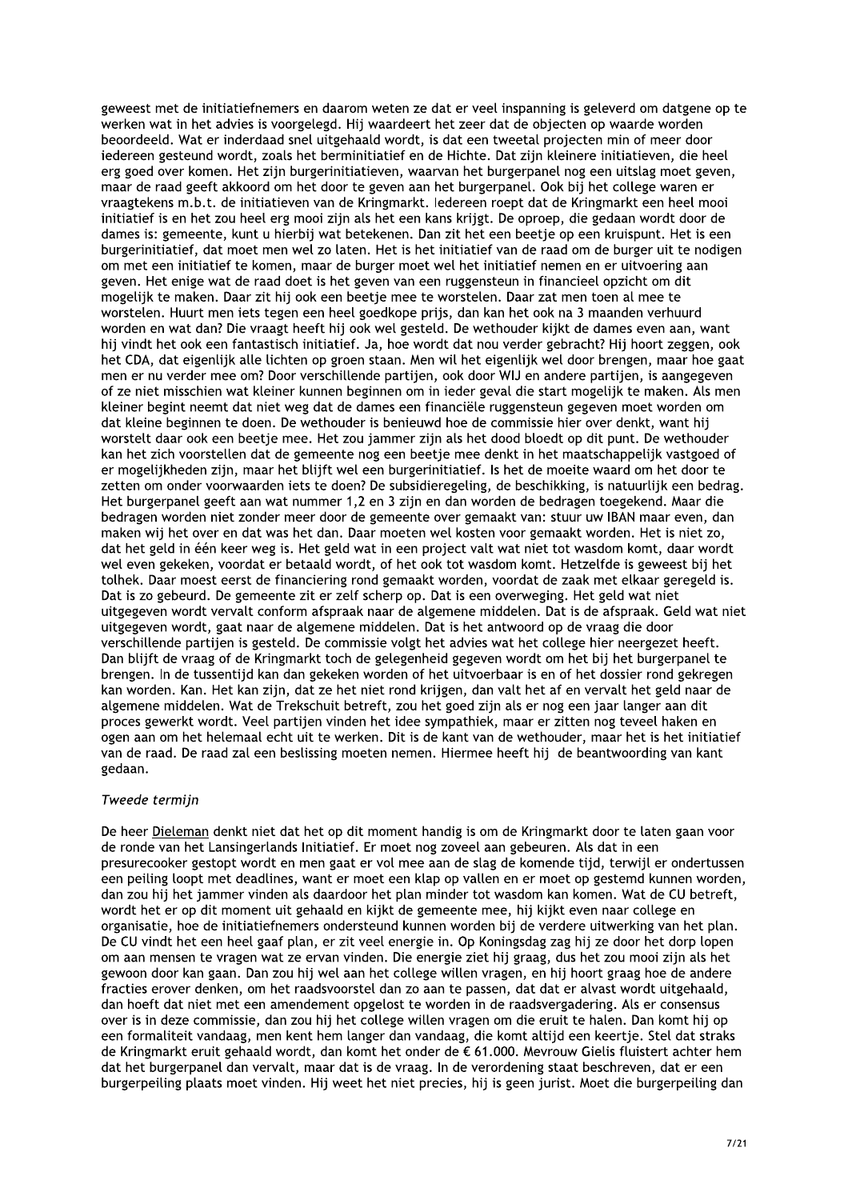geweest met de initiatiefnemers en daarom weten ze dat er veel inspanning is geleverd om datgene op te werken wat in het advies is voorgelegd. Hij waardeert het zeer dat de objecten op waarde worden beoordeeld. Wat er inderdaad snel uitgehaald wordt, is dat een tweetal projecten min of meer door iedereen gesteund wordt, zoals het berminitiatief en de Hichte. Dat zijn kleinere initiatieven, die heel erg goed over komen. Het zijn burgerinitiatieven, waarvan het burgerpanel nog een uitslag moet geven, maar de raad geeft akkoord om het door te geven aan het burgerpanel. Ook bij het college waren er vraagtekens m.b.t. de initiatieven van de Kringmarkt. Iedereen roept dat de Kringmarkt een heel mooi initiatief is en het zou heel erg mooi zijn als het een kans krijgt. De oproep, die gedaan wordt door de dames is: gemeente, kunt u hierbij wat betekenen. Dan zit het een beetje op een kruispunt. Het is een burgerinitiatief, dat moet men wel zo laten. Het is het initiatief van de raad om de burger uit te nodigen om met een initiatief te komen, maar de burger moet wel het initiatief nemen en er uitvoering aan geven. Het enige wat de raad doet is het geven van een ruggensteun in financieel opzicht om dit mogelijk te maken. Daar zit hij ook een beetje mee te worstelen. Daar zat men toen al mee te worstelen. Huurt men iets tegen een heel goedkope prijs, dan kan het ook na 3 maanden verhuurd worden en wat dan? Die vraagt heeft hij ook wel gesteld. De wethouder kijkt de dames even aan, want hij vindt het ook een fantastisch initiatief. Ja, hoe wordt dat nou verder gebracht? Hij hoort zeggen, ook het CDA, dat eigenlijk alle lichten op groen staan. Men wil het eigenlijk wel door brengen, maar hoe gaat men er nu verder mee om? Door verschillende partijen, ook door WIJ en andere partijen, is aangegeven of ze niet misschien wat kleiner kunnen beginnen om in ieder geval die start mogelijk te maken. Als men kleiner begint neemt dat niet weg dat de dames een financiële ruggensteun gegeven moet worden om dat kleine beginnen te doen. De wethouder is benieuwd hoe de commissie hier over denkt, want hij worstelt daar ook een beetje mee. Het zou jammer zijn als het dood bloedt op dit punt. De wethouder kan het zich voorstellen dat de gemeente nog een beetje mee denkt in het maatschappelijk vastgoed of er mogelijkheden zijn, maar het blijft wel een burgerinitiatief. Is het de moeite waard om het door te zetten om onder voorwaarden iets te doen? De subsidieregeling, de beschikking, is natuurlijk een bedrag. Het burgerpanel geeft aan wat nummer 1,2 en 3 zijn en dan worden de bedragen toegekend. Maar die bedragen worden niet zonder meer door de gemeente over gemaakt van: stuur uw IBAN maar even, dan maken wij het over en dat was het dan. Daar moeten wel kosten voor gemaakt worden. Het is niet zo, dat het geld in één keer weg is. Het geld wat in een project valt wat niet tot wasdom komt, daar wordt wel even gekeken, voordat er betaald wordt, of het ook tot wasdom komt. Hetzelfde is geweest bij het tolhek. Daar moest eerst de financiering rond gemaakt worden, voordat de zaak met elkaar geregeld is. Dat is zo gebeurd. De gemeente zit er zelf scherp op. Dat is een overweging. Het geld wat niet uitgegeven wordt vervalt conform afspraak naar de algemene middelen. Dat is de afspraak. Geld wat niet uitgegeven wordt, gaat naar de algemene middelen. Dat is het antwoord op de vraag die door verschillende partijen is gesteld. De commissie volgt het advies wat het college hier neergezet heeft. Dan blijft de vraag of de Kringmarkt toch de gelegenheid gegeven wordt om het bij het burgerpanel te brengen. In de tussentijd kan dan gekeken worden of het uitvoerbaar is en of het dossier rond gekregen kan worden. Kan. Het kan zijn, dat ze het niet rond krijgen, dan valt het af en vervalt het geld naar de algemene middelen. Wat de Trekschuit betreft, zou het goed zijn als er nog een jaar langer aan dit proces gewerkt wordt. Veel partijen vinden het idee sympathiek, maar er zitten nog teveel haken en ogen aan om het helemaal echt uit te werken. Dit is de kant van de wethouder, maar het is het initiatief van de raad. De raad zal een beslissing moeten nemen. Hiermee heeft hij de beantwoording van kant gedaan.

## Tweede termijn

De heer Dieleman denkt niet dat het op dit moment handig is om de Kringmarkt door te laten gaan voor de ronde van het Lansingerlands Initiatief. Er moet nog zoveel aan gebeuren. Als dat in een presurecooker gestopt wordt en men gaat er vol mee aan de slag de komende tijd, terwijl er ondertussen een peiling loopt met deadlines, want er moet een klap op vallen en er moet op gestemd kunnen worden, dan zou hij het jammer vinden als daardoor het plan minder tot wasdom kan komen. Wat de CU betreft, wordt het er op dit moment uit gehaald en kijkt de gemeente mee, hij kijkt even naar college en organisatie, hoe de initiatiefnemers ondersteund kunnen worden bij de verdere uitwerking van het plan. De CU vindt het een heel gaaf plan, er zit veel energie in. Op Koningsdag zag hij ze door het dorp lopen om aan mensen te vragen wat ze ervan vinden. Die energie ziet hij graag, dus het zou mooi zijn als het gewoon door kan gaan. Dan zou hij wel aan het college willen vragen, en hij hoort graag hoe de andere fracties erover denken, om het raadsvoorstel dan zo aan te passen, dat dat er alvast wordt uitgehaald, dan hoeft dat niet met een amendement opgelost te worden in de raadsvergadering. Als er consensus over is in deze commissie, dan zou hij het college willen vragen om die eruit te halen. Dan komt hij op een formaliteit vandaag, men kent hem langer dan vandaag, die komt altijd een keertje. Stel dat straks de Kringmarkt eruit gehaald wordt, dan komt het onder de € 61.000. Mevrouw Gielis fluistert achter hem dat het burgerpanel dan vervalt, maar dat is de vraag. In de verordening staat beschreven, dat er een burgerpeiling plaats moet vinden. Hij weet het niet precies, hij is geen jurist. Moet die burgerpeiling dan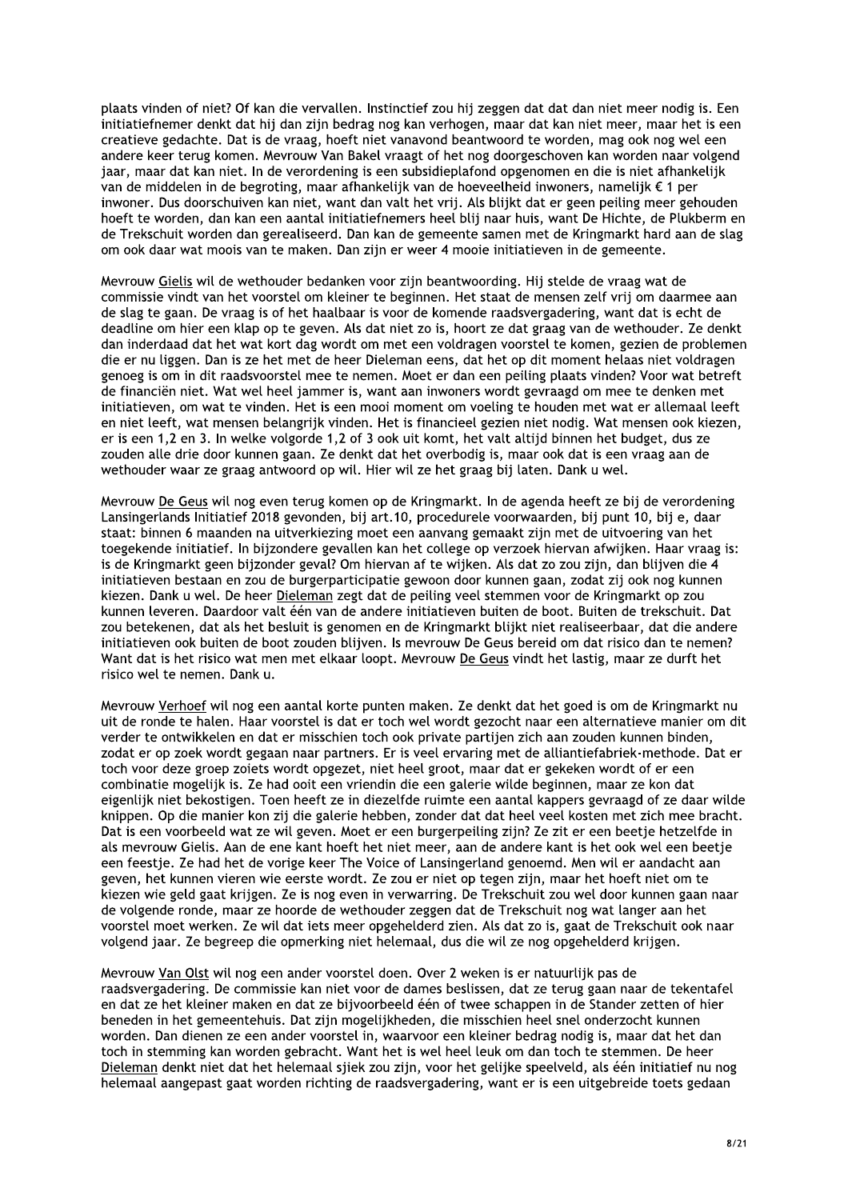plaats vinden of niet? Of kan die vervallen, Instinctief zou hij zeggen dat dat dan niet meer nodig is. Een initiatiefnemer denkt dat hij dan zijn bedrag nog kan verhogen, maar dat kan niet meer, maar het is een creatieve gedachte. Dat is de vraag, hoeft niet vanavond beantwoord te worden, mag ook nog wel een andere keer terug komen. Mevrouw Van Bakel vraagt of het nog doorgeschoven kan worden naar volgend jaar, maar dat kan niet. In de verordening is een subsidieplafond opgenomen en die is niet afhankelijk van de middelen in de begroting, maar afhankelijk van de hoeveelheid inwoners, namelijk € 1 per inwoner. Dus doorschuiven kan niet, want dan valt het vrij. Als blijkt dat er geen peiling meer gehouden hoeft te worden, dan kan een aantal initiatiefnemers heel blij naar huis, want De Hichte, de Plukberm en de Trekschuit worden dan gerealiseerd. Dan kan de gemeente samen met de Kringmarkt hard aan de slag om ook daar wat moois van te maken. Dan zijn er weer 4 mooie initiatieven in de gemeente.

Mevrouw Gielis wil de wethouder bedanken voor zijn beantwoording. Hij stelde de vraag wat de commissie vindt van het voorstel om kleiner te beginnen. Het staat de mensen zelf vrij om daarmee aan de slag te gaan. De vraag is of het haalbaar is voor de komende raadsvergadering, want dat is echt de deadline om hier een klap op te geven. Als dat niet zo is, hoort ze dat graag van de wethouder. Ze denkt dan inderdaad dat het wat kort dag wordt om met een voldragen voorstel te komen, gezien de problemen die er nu liggen. Dan is ze het met de heer Dieleman eens, dat het op dit moment helaas niet voldragen genoeg is om in dit raadsvoorstel mee te nemen. Moet er dan een peiling plaats vinden? Voor wat betreft de financiën niet. Wat wel heel jammer is, want aan inwoners wordt gevraagd om mee te denken met initiatieven, om wat te vinden. Het is een mooi moment om voeling te houden met wat er allemaal leeft en niet leeft, wat mensen belangrijk vinden. Het is financieel gezien niet nodig. Wat mensen ook kiezen, er is een 1,2 en 3. In welke volgorde 1,2 of 3 ook uit komt, het valt altijd binnen het budget, dus ze zouden alle drie door kunnen gaan. Ze denkt dat het overbodig is, maar ook dat is een vraag aan de wethouder waar ze graag antwoord op wil. Hier wil ze het graag bij laten. Dank u wel.

Mevrouw De Geus wil nog even terug komen op de Kringmarkt. In de agenda heeft ze bij de verordening Lansingerlands Initiatief 2018 gevonden, bij art.10, procedurele voorwaarden, bij punt 10, bij e, daar staat: binnen 6 maanden na uitverkiezing moet een aanvang gemaakt zijn met de uitvoering van het toegekende initiatief. In bijzondere gevallen kan het college op verzoek hiervan afwijken. Haar vraag is: is de Kringmarkt geen bijzonder geval? Om hiervan af te wijken. Als dat zo zou zijn, dan blijven die 4 initiatieven bestaan en zou de burgerparticipatie gewoon door kunnen gaan, zodat zij ook nog kunnen kiezen. Dank u wel. De heer Dieleman zegt dat de peiling veel stemmen voor de Kringmarkt op zou kunnen leveren. Daardoor valt één van de andere initiatieven buiten de boot. Buiten de trekschuit. Dat zou betekenen, dat als het besluit is genomen en de Kringmarkt blijkt niet realiseerbaar, dat die andere initiatieven ook buiten de boot zouden blijven. Is mevrouw De Geus bereid om dat risico dan te nemen? Want dat is het risico wat men met elkaar loopt. Mevrouw De Geus vindt het lastig, maar ze durft het risico wel te nemen. Dank u.

Mevrouw Verhoef wil nog een aantal korte punten maken. Ze denkt dat het goed is om de Kringmarkt nu uit de ronde te halen. Haar voorstel is dat er toch wel wordt gezocht naar een alternatieve manier om dit verder te ontwikkelen en dat er misschien toch ook private partijen zich aan zouden kunnen binden, zodat er op zoek wordt gegaan naar partners. Er is veel ervaring met de alliantiefabriek-methode. Dat er toch voor deze groep zoiets wordt opgezet, niet heel groot, maar dat er gekeken wordt of er een combinatie mogelijk is. Ze had ooit een vriendin die een galerie wilde beginnen, maar ze kon dat eigenlijk niet bekostigen. Toen heeft ze in diezelfde ruimte een aantal kappers gevraagd of ze daar wilde knippen. Op die manier kon zij die galerie hebben, zonder dat dat heel veel kosten met zich mee bracht. Dat is een voorbeeld wat ze wil geven. Moet er een burgerpeiling zijn? Ze zit er een beetje hetzelfde in als mevrouw Gielis. Aan de ene kant hoeft het niet meer, aan de andere kant is het ook wel een beetje een feestje. Ze had het de vorige keer The Voice of Lansingerland genoemd. Men wil er aandacht aan geven, het kunnen vieren wie eerste wordt. Ze zou er niet op tegen zijn, maar het hoeft niet om te kiezen wie geld gaat krijgen. Ze is nog even in verwarring. De Trekschuit zou wel door kunnen gaan naar de volgende ronde, maar ze hoorde de wethouder zeggen dat de Trekschuit nog wat langer aan het voorstel moet werken. Ze wil dat iets meer opgehelderd zien. Als dat zo is, gaat de Trekschuit ook naar volgend jaar. Ze begreep die opmerking niet helemaal, dus die wil ze nog opgehelderd krijgen.

Mevrouw Van Olst wil nog een ander voorstel doen. Over 2 weken is er natuurlijk pas de raadsvergadering. De commissie kan niet voor de dames beslissen, dat ze terug gaan naar de tekentafel en dat ze het kleiner maken en dat ze bijvoorbeeld één of twee schappen in de Stander zetten of hier beneden in het gemeentehuis. Dat zijn mogelijkheden, die misschien heel snel onderzocht kunnen worden. Dan dienen ze een ander voorstel in, waarvoor een kleiner bedrag nodig is, maar dat het dan toch in stemming kan worden gebracht. Want het is wel heel leuk om dan toch te stemmen. De heer Dieleman denkt niet dat het helemaal sjiek zou zijn, voor het gelijke speelveld, als één initiatief nu nog helemaal aangepast gaat worden richting de raadsvergadering, want er is een uitgebreide toets gedaan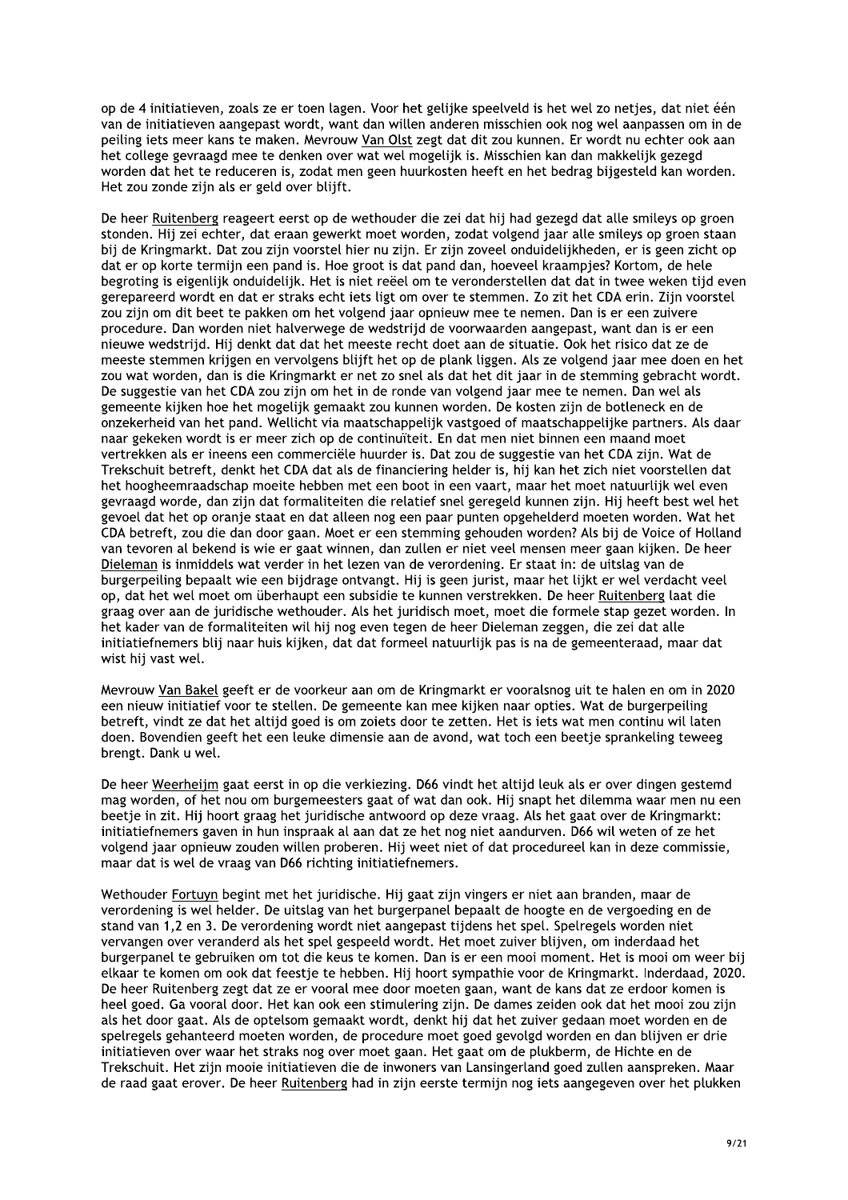op de 4 initiatieven, zoals ze er toen lagen. Voor het gelijke speelveld is het wel zo netjes, dat niet één van de initiatieven aangepast wordt, want dan willen anderen misschien ook nog wel aanpassen om in de peiling iets meer kans te maken. Mevrouw Van Olst zegt dat dit zou kunnen. Er wordt nu echter ook aan het college gevraagd mee te denken over wat wel mogelijk is. Misschien kan dan makkelijk gezegd worden dat het te reduceren is, zodat men geen huurkosten heeft en het bedrag bijgesteld kan worden. Het zou zonde zijn als er geld over blijft.

De heer Ruitenberg reageert eerst op de wethouder die zei dat hij had gezegd dat alle smileys op groen stonden. Hij zei echter, dat eraan gewerkt moet worden, zodat volgend jaar alle smileys op groen staan bij de Kringmarkt. Dat zou zijn voorstel hier nu zijn. Er zijn zoveel onduidelijkheden, er is geen zicht op dat er op korte termijn een pand is. Hoe groot is dat pand dan, hoeveel kraampjes? Kortom, de hele begroting is eigenlijk onduidelijk. Het is niet reëel om te veronderstellen dat dat in twee weken tijd even gerepareerd wordt en dat er straks echt jets ligt om over te stemmen. Zo zit het CDA erin. Zijn voorstel zou zijn om dit beet te pakken om het volgend jaar opnieuw mee te nemen. Dan is er een zuivere procedure. Dan worden niet halverwege de wedstrijd de voorwaarden aangepast, want dan is er een nieuwe wedstriid. Hij denkt dat dat het meeste recht doet aan de situatie. Ook het risico dat ze de meeste stemmen krijgen en vervolgens blijft het op de plank liggen. Als ze volgend jaar mee doen en het zou wat worden, dan is die Kringmarkt er net zo snel als dat het dit jaar in de stemming gebracht wordt. De suggestie van het CDA zou zijn om het in de ronde van volgend jaar mee te nemen. Dan wel als gemeente kijken hoe het mogelijk gemaakt zou kunnen worden. De kosten zijn de botleneck en de onzekerheid van het pand. Wellicht via maatschappelijk vastgoed of maatschappelijke partners. Als daar naar gekeken wordt is er meer zich op de continuïteit. En dat men niet binnen een maand moet vertrekken als er ineens een commerciële huurder is. Dat zou de suggestie van het CDA zijn. Wat de Trekschuit betreft, denkt het CDA dat als de financiering helder is, hij kan het zich niet voorstellen dat het hoogheemraadschap moeite hebben met een boot in een vaart, maar het moet natuurlijk wel even gevraagd worde, dan zijn dat formaliteiten die relatief snel geregeld kunnen zijn. Hij heeft best wel het gevoel dat het op oranje staat en dat alleen nog een paar punten opgehelderd moeten worden. Wat het CDA betreft, zou die dan door gaan. Moet er een stemming gehouden worden? Als bij de Voice of Holland van tevoren al bekend is wie er gaat winnen, dan zullen er niet veel mensen meer gaan kijken. De heer Dieleman is inmiddels wat verder in het lezen van de verordening. Er staat in: de uitslag van de burgerpeiling bepaalt wie een bijdrage ontvangt. Hij is geen jurist, maar het lijkt er wel verdacht veel op, dat het wel moet om überhaupt een subsidie te kunnen verstrekken. De heer Ruitenberg laat die graag over aan de juridische wethouder. Als het juridisch moet, moet die formele stap gezet worden. In het kader van de formaliteiten wil hij nog even tegen de heer Dieleman zeggen, die zei dat alle initiatiefnemers blij naar huis kijken, dat dat formeel natuurlijk pas is na de gemeenteraad, maar dat wist hij vast wel.

Mevrouw Van Bakel geeft er de voorkeur aan om de Kringmarkt er vooralsnog uit te halen en om in 2020 een nieuw initiatief voor te stellen. De gemeente kan mee kijken naar opties. Wat de burgerpeiling betreft, vindt ze dat het altijd goed is om zoiets door te zetten. Het is iets wat men continu wil laten doen. Bovendien geeft het een leuke dimensie aan de avond, wat toch een beetje sprankeling teweeg brengt. Dank u wel.

De heer Weerheijm gaat eerst in op die verkiezing. D66 vindt het altijd leuk als er over dingen gestemd mag worden, of het nou om burgemeesters gaat of wat dan ook. Hij snapt het dilemma waar men nu een beetje in zit. Hij hoort graag het juridische antwoord op deze vraag. Als het gaat over de Kringmarkt: initiatiefnemers gaven in hun inspraak al aan dat ze het nog niet aandurven. D66 wil weten of ze het volgend jaar opnieuw zouden willen proberen. Hij weet niet of dat procedureel kan in deze commissie, maar dat is wel de vraag van D66 richting initiatiefnemers.

Wethouder Fortuyn begint met het juridische. Hij gaat zijn vingers er niet aan branden, maar de verordening is wel helder. De uitslag van het burgerpanel bepaalt de hoogte en de vergoeding en de stand van 1,2 en 3. De verordening wordt niet aangepast tijdens het spel. Spelregels worden niet vervangen over veranderd als het spel gespeeld wordt. Het moet zuiver blijven, om inderdaad het burgerpanel te gebruiken om tot die keus te komen. Dan is er een mooi moment. Het is mooi om weer bij elkaar te komen om ook dat feestje te hebben. Hij hoort sympathie voor de Kringmarkt. Inderdaad, 2020. De heer Ruitenberg zegt dat ze er vooral mee door moeten gaan, want de kans dat ze erdoor komen is heel goed. Ga vooral door. Het kan ook een stimulering zijn. De dames zeiden ook dat het mooi zou zijn als het door gaat. Als de optelsom gemaakt wordt, denkt hij dat het zuiver gedaan moet worden en de spelregels gehanteerd moeten worden, de procedure moet goed gevolgd worden en dan blijven er drie initiatieven over waar het straks nog over moet gaan. Het gaat om de plukberm, de Hichte en de Trekschuit. Het zijn mooie initiatieven die de inwoners van Lansingerland goed zullen aanspreken. Maar de raad gaat erover. De heer Ruitenberg had in zijn eerste termijn nog iets aangegeven over het plukken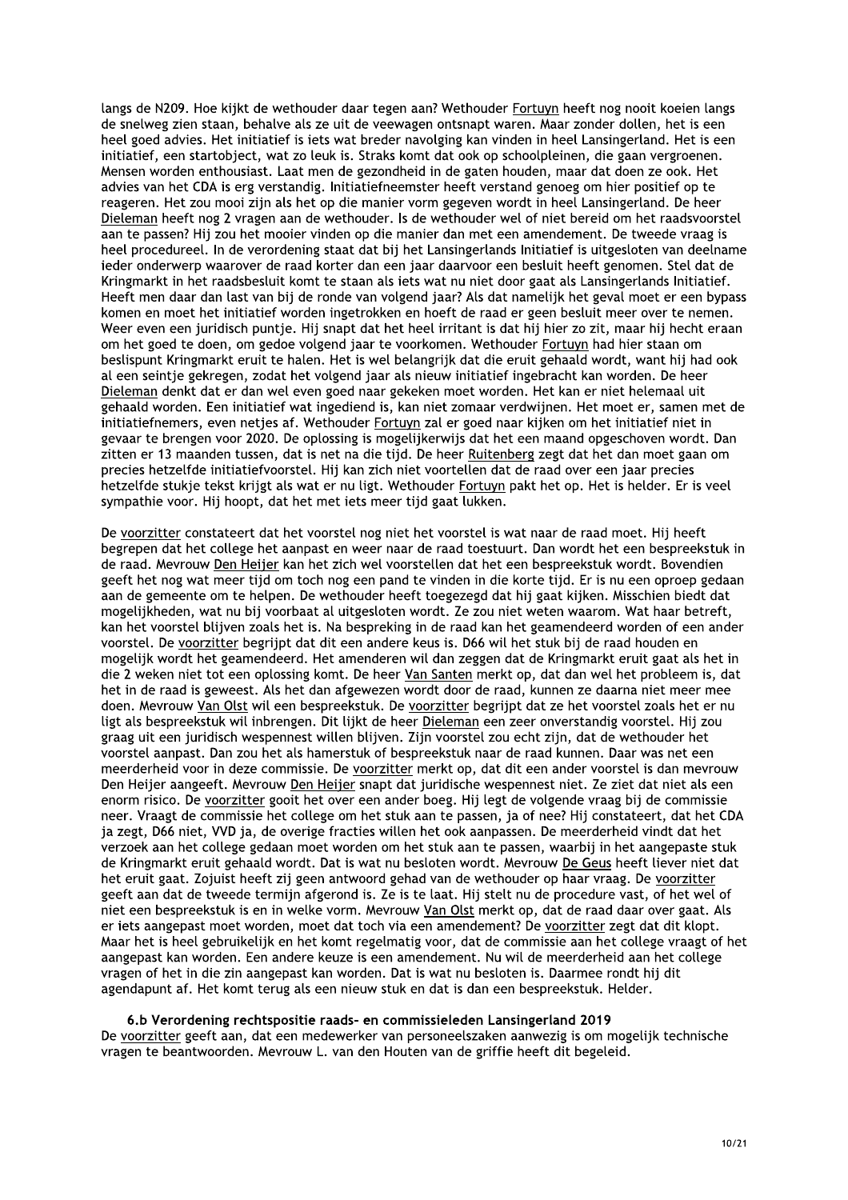langs de N209. Hoe kijkt de wethouder daar tegen aan? Wethouder Fortuvn heeft nog nooit koejen langs de snelweg zien staan, behalve als ze uit de veewagen ontsnapt waren. Maar zonder dollen, het is een heel goed advies. Het initiatief is iets wat breder navolging kan vinden in heel Lansingerland. Het is een initiatief, een startobject, wat zo leuk is. Straks komt dat ook op schoolpleinen, die gaan vergroenen. Mensen worden enthousiast. Laat men de gezondheid in de gaten houden, maar dat doen ze ook. Het advies van het CDA is erg verstandig. Initiatiefneemster heeft verstand genoeg om hier positief op te reageren. Het zou mooi zijn als het op die manier vorm gegeven wordt in heel Lansingerland. De heer Dieleman heeft nog 2 vragen aan de wethouder. Is de wethouder wel of niet bereid om het raadsvoorstel aan te passen? Hij zou het mooier vinden op die manier dan met een amendement. De tweede vraag is heel procedureel. In de verordening staat dat bij het Lansingerlands Initiatief is uitgesloten van deelname jeder onderwerp waarover de raad korter dan een jaar daarvoor een besluit heeft genomen. Stel dat de Kringmarkt in het raadsbesluit komt te staan als iets wat nu niet door gaat als Lansingerlands Initiatief. Heeft men daar dan last van bij de ronde van volgend jaar? Als dat namelijk het geval moet er een bypass komen en moet het initiatief worden ingetrokken en hoeft de raad er geen besluit meer over te nemen. Weer even een juridisch puntie. Hij snapt dat het heel irritant is dat hij hier zo zit, maar hij hecht eraan om het goed te doen, om gedoe volgend jaar te voorkomen. Wethouder Fortuyn had hier staan om beslispunt Kringmarkt eruit te halen. Het is wel belangrijk dat die eruit gehaald wordt, want hij had ook al een seintje gekregen, zodat het volgend jaar als nieuw initiatief ingebracht kan worden. De heer Dieleman denkt dat er dan wel even goed naar gekeken moet worden. Het kan er niet helemaal uit gehaald worden. Een initiatief wat ingediend is, kan niet zomaar verdwijnen. Het moet er, samen met de initiatiefnemers, even netjes af. Wethouder Fortuyn zal er goed naar kijken om het initiatief niet in gevaar te brengen voor 2020. De oplossing is mogelijkerwijs dat het een maand opgeschoven wordt. Dan zitten er 13 maanden tussen, dat is net na die tijd. De heer Ruitenberg zegt dat het dan moet gaan om precies hetzelfde initiatiefvoorstel. Hij kan zich niet voortellen dat de raad over een jaar precies hetzelfde stukje tekst krijgt als wat er nu ligt. Wethouder Fortuyn pakt het op. Het is helder. Er is veel sympathie voor. Hij hoopt, dat het met iets meer tijd gaat lukken.

De voorzitter constateert dat het voorstel nog niet het voorstel is wat naar de raad moet. Hij heeft begrepen dat het college het aanpast en weer naar de raad toestuurt. Dan wordt het een bespreekstuk in de raad. Mevrouw Den Heijer kan het zich wel voorstellen dat het een bespreekstuk wordt. Bovendien geeft het nog wat meer tijd om toch nog een pand te vinden in die korte tijd. Er is nu een oproep gedaan aan de gemeente om te helpen. De wethouder heeft toegezegd dat hij gaat kijken. Misschien biedt dat mogelijkheden, wat nu bij voorbaat al uitgesloten wordt. Ze zou niet weten waarom. Wat haar betreft, kan het voorstel blijven zoals het is. Na bespreking in de raad kan het geamendeerd worden of een ander voorstel. De voorzitter begrijpt dat dit een andere keus is. D66 wil het stuk bij de raad houden en mogelijk wordt het geamendeerd. Het amenderen wil dan zeggen dat de Kringmarkt eruit gaat als het in die 2 weken niet tot een oplossing komt. De heer Van Santen merkt op, dat dan wel het probleem is, dat het in de raad is geweest. Als het dan afgewezen wordt door de raad, kunnen ze daarna niet meer mee doen. Mevrouw Van Olst wil een bespreekstuk. De voorzitter begrijpt dat ze het voorstel zoals het er nu ligt als bespreekstuk wil inbrengen. Dit lijkt de heer Dieleman een zeer onverstandig voorstel. Hij zou graag uit een juridisch wespennest willen blijven. Zijn voorstel zou echt zijn, dat de wethouder het voorstel aanpast. Dan zou het als hamerstuk of bespreekstuk naar de raad kunnen. Daar was net een meerderheid voor in deze commissie. De voorzitter merkt op, dat dit een ander voorstel is dan mevrouw Den Heijer aangeeft. Mevrouw Den Heijer snapt dat juridische wespennest niet. Ze ziet dat niet als een enorm risico. De voorzitter gooit het over een ander boeg. Hij legt de volgende vraag bij de commissie neer. Vraagt de commissie het college om het stuk aan te passen, ja of nee? Hij constateert, dat het CDA ja zegt, D66 niet, VVD ja, de overige fracties willen het ook aanpassen. De meerderheid vindt dat het verzoek aan het college gedaan moet worden om het stuk aan te passen, waarbij in het aangepaste stuk de Kringmarkt eruit gehaald wordt. Dat is wat nu besloten wordt. Mevrouw De Geus heeft liever niet dat het eruit gaat. Zojuist heeft zij geen antwoord gehad van de wethouder op haar vraag. De voorzitter geeft aan dat de tweede termijn afgerond is. Ze is te laat. Hij stelt nu de procedure vast, of het wel of niet een bespreekstuk is en in welke vorm. Mevrouw Van Olst merkt op, dat de raad daar over gaat. Als er iets aangepast moet worden, moet dat toch via een amendement? De voorzitter zegt dat dit klopt. Maar het is heel gebruikelijk en het komt regelmatig voor, dat de commissie aan het college vraagt of het aangepast kan worden. Een andere keuze is een amendement. Nu wil de meerderheid aan het college vragen of het in die zin aangepast kan worden. Dat is wat nu besloten is. Daarmee rondt hij dit agendapunt af. Het komt terug als een nieuw stuk en dat is dan een bespreekstuk. Helder.

#### 6.b Verordening rechtspositie raads- en commissieleden Lansingerland 2019

De voorzitter geeft aan, dat een medewerker van personeelszaken aanwezig is om mogelijk technische vragen te beantwoorden. Mevrouw L. van den Houten van de griffie heeft dit begeleid.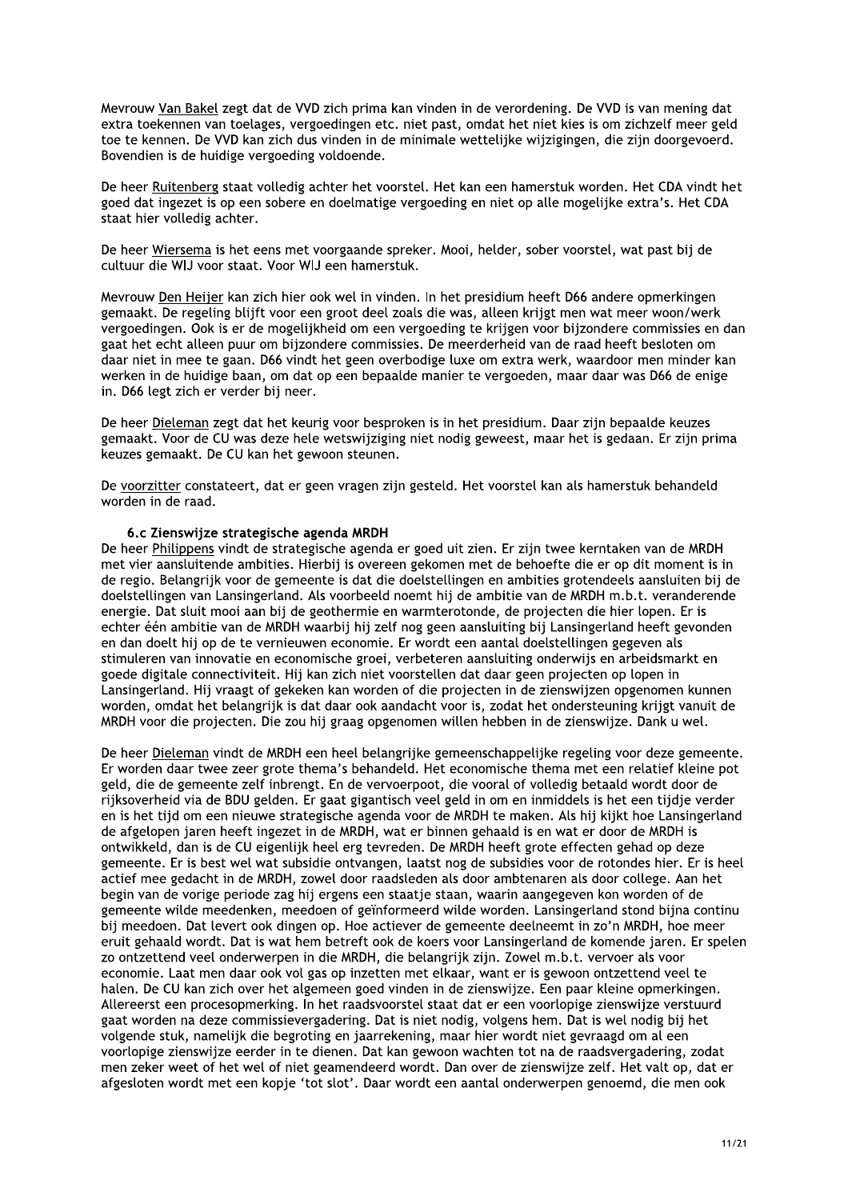Meyrouw Van Bakel zegt dat de VVD zich prima kan vinden in de verordening. De VVD is van mening dat extra toekennen van toelages, vergoedingen etc. niet past, omdat het niet kies is om zichzelf meer geld toe te kennen. De VVD kan zich dus vinden in de minimale wettelijke wijzigingen, die zijn doorgevoerd. Bovendien is de huidige vergoeding voldoende.

De heer Ruitenberg staat volledig achter het voorstel. Het kan een hamerstuk worden. Het CDA vindt het goed dat ingezet is op een sobere en doelmatige vergoeding en niet op alle mogelijke extra's. Het CDA staat hier volledig achter.

De heer Wiersema is het eens met voorgaande spreker. Mooi, helder, sober voorstel, wat past bij de cultuur die WIJ voor staat. Voor WIJ een hamerstuk.

Mevrouw Den Heijer kan zich hier ook wel in vinden. In het presidium heeft D66 andere opmerkingen gemaakt. De regeling blijft voor een groot deel zoals die was, alleen krijgt men wat meer woon/werk vergoedingen. Ook is er de mogelijkheid om een vergoeding te krijgen voor bijzondere commissies en dan gaat het echt alleen puur om bijzondere commissies. De meerderheid van de raad heeft besloten om daar niet in mee te gaan. D66 vindt het geen overbodige luxe om extra werk, waardoor men minder kan werken in de huidige baan, om dat op een bepaalde manier te vergoeden, maar daar was D66 de enige in. D66 legt zich er verder bij neer.

De heer Dieleman zegt dat het keurig voor besproken is in het presidium. Daar zijn bepaalde keuzes gemaakt. Voor de CU was deze hele wetswijziging niet nodig geweest, maar het is gedaan. Er zijn prima keuzes gemaakt. De CU kan het gewoon steunen.

De voorzitter constateert, dat er geen vragen zijn gesteld. Het voorstel kan als hamerstuk behandeld worden in de raad.

## 6.c Zienswiize strategische agenda MRDH

De heer Philippens vindt de strategische agenda er goed uit zien. Er zijn twee kerntaken van de MRDH met vier aansluitende ambities. Hierbij is overeen gekomen met de behoefte die er op dit moment is in de regio. Belangrijk voor de gemeente is dat die doelstellingen en ambities grotendeels aansluiten bij de doelstellingen van Lansingerland. Als voorbeeld noemt hij de ambitie van de MRDH m.b.t. veranderende energie. Dat sluit mooi aan bij de geothermie en warmterotonde, de projecten die hier lopen. Er is echter één ambitie van de MRDH waarbij hij zelf nog geen aansluiting bij Lansingerland heeft gevonden en dan doelt hij op de te vernieuwen economie. Er wordt een aantal doelstellingen gegeven als stimuleren van innovatie en economische groei, verbeteren aansluiting onderwijs en arbeidsmarkt en goede digitale connectiviteit. Hij kan zich niet voorstellen dat daar geen projecten op lopen in Lansingerland. Hij vraagt of gekeken kan worden of die projecten in de zienswijzen opgenomen kunnen worden, omdat het belangrijk is dat daar ook aandacht voor is, zodat het ondersteuning krijgt vanuit de MRDH voor die projecten. Die zou hij graag opgenomen willen hebben in de zienswijze. Dank u wel.

De heer Dieleman vindt de MRDH een heel belangrijke gemeenschappelijke regeling voor deze gemeente. Er worden daar twee zeer grote thema's behandeld. Het economische thema met een relatief kleine pot geld, die de gemeente zelf inbrengt. En de vervoerpoot, die vooral of volledig betaald wordt door de rijksoverheid via de BDU gelden. Er gaat gigantisch veel geld in om en inmiddels is het een tijdje verder en is het tijd om een nieuwe strategische agenda voor de MRDH te maken. Als hij kijkt hoe Lansingerland de afgelopen jaren heeft ingezet in de MRDH, wat er binnen gehaald is en wat er door de MRDH is ontwikkeld, dan is de CU eigenlijk heel erg tevreden. De MRDH heeft grote effecten gehad op deze gemeente. Er is best wel wat subsidie ontvangen, laatst nog de subsidies voor de rotondes hier. Er is heel actief mee gedacht in de MRDH, zowel door raadsleden als door ambtenaren als door college. Aan het begin van de vorige periode zag hij ergens een staatje staan, waarin aangegeven kon worden of de gemeente wilde meedenken, meedoen of geïnformeerd wilde worden. Lansingerland stond bijna continu bij meedoen. Dat levert ook dingen op. Hoe actiever de gemeente deelneemt in zo'n MRDH, hoe meer eruit gehaald wordt. Dat is wat hem betreft ook de koers voor Lansingerland de komende jaren. Er spelen zo ontzettend veel onderwerpen in die MRDH, die belangrijk zijn. Zowel m.b.t. vervoer als voor economie. Laat men daar ook vol gas op inzetten met elkaar, want er is gewoon ontzettend veel te halen. De CU kan zich over het algemeen goed vinden in de zienswijze. Een paar kleine opmerkingen. Allereerst een procesopmerking. In het raadsvoorstel staat dat er een voorlopige zienswijze verstuurd gaat worden na deze commissievergadering. Dat is niet nodig, volgens hem. Dat is wel nodig bij het volgende stuk, namelijk die begroting en jaarrekening, maar hier wordt niet gevraagd om al een voorlopige zienswijze eerder in te dienen. Dat kan gewoon wachten tot na de raadsvergadering, zodat men zeker weet of het wel of niet geamendeerd wordt. Dan over de zienswijze zelf. Het valt op, dat er afgesloten wordt met een kopje 'tot slot'. Daar wordt een aantal onderwerpen genoemd, die men ook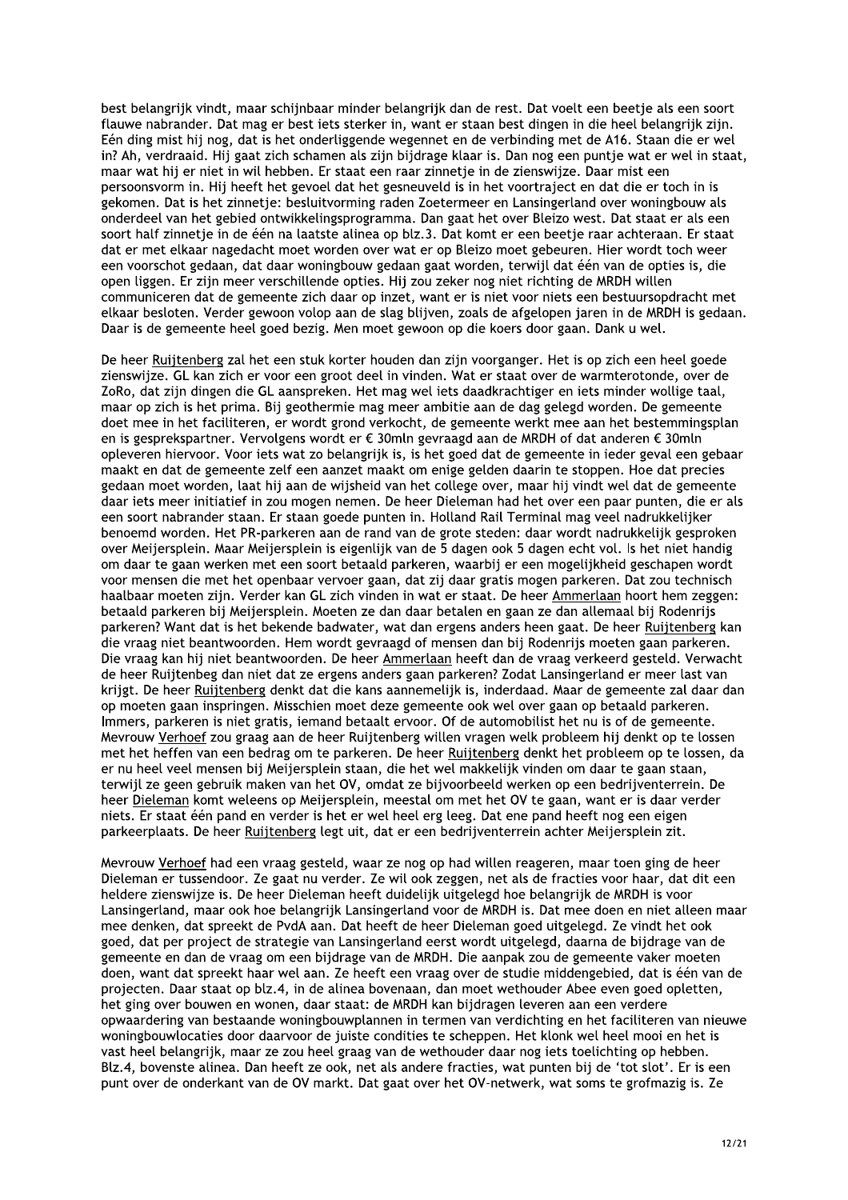best belangrijk vindt, maar schijnbaar minder belangrijk dan de rest. Dat voelt een beetie als een soort flauwe nabrander. Dat mag er best jets sterker in, want er staan best dingen in die heel belangrijk zijn. Eén ding mist hij nog, dat is het onderliggende wegennet en de verbinding met de A16. Staan die er wel in? Ah, verdraaid. Hij gaat zich schamen als zijn bijdrage klaar is. Dan nog een puntje wat er wel in staat, maar wat hij er niet in wil hebben. Er staat een raar zinnetje in de zienswijze. Daar mist een persoonsvorm in. Hij heeft het gevoel dat het gesneuveld is in het voortraject en dat die er toch in is gekomen. Dat is het zinnetje: besluitvorming raden Zoetermeer en Lansingerland over woningbouw als onderdeel van het gebied ontwikkelingsprogramma. Dan gaat het over Bleizo west. Dat staat er als een soort half zinnetje in de één na laatste alinea op blz.3. Dat komt er een beetje raar achteraan. Er staat dat er met elkaar nagedacht moet worden over wat er op Bleizo moet gebeuren. Hier wordt toch weer een voorschot gedaan, dat daar woningbouw gedaan gaat worden, terwijl dat één van de opties is, die open liggen. Er zijn meer verschillende opties. Hij zou zeker nog niet richting de MRDH willen communiceren dat de gemeente zich daar op inzet, want er is niet voor niets een bestuursopdracht met elkaar besloten. Verder gewoon volop aan de slag blijven, zoals de afgelopen jaren in de MRDH is gedaan. Daar is de gemeente heel goed bezig. Men moet gewoon op die koers door gaan. Dank u wel.

De heer Ruijtenberg zal het een stuk korter houden dan zijn voorganger. Het is op zich een heel goede zienswijze. GL kan zich er voor een groot deel in vinden. Wat er staat over de warmterotonde, over de ZoRo, dat zijn dingen die GL aanspreken. Het mag wel iets daadkrachtiger en iets minder wollige taal, maar op zich is het prima. Bij geothermie mag meer ambitie aan de dag gelegd worden. De gemeente doet mee in het faciliteren, er wordt grond verkocht, de gemeente werkt mee aan het bestemmingsplan en is gesprekspartner. Vervolgens wordt er € 30mln gevraagd aan de MRDH of dat anderen € 30mln opleveren hiervoor. Voor iets wat zo belangrijk is, is het goed dat de gemeente in ieder geval een gebaar maakt en dat de gemeente zelf een aanzet maakt om enige gelden daarin te stoppen. Hoe dat precies gedaan moet worden, laat hij aan de wijsheid van het college over, maar hij vindt wel dat de gemeente daar jets meer initiatief in zou mogen nemen. De heer Dieleman had het over een paar punten, die er als een soort nabrander staan. Er staan goede punten in. Holland Rail Terminal mag veel nadrukkelijker benoemd worden. Het PR-parkeren aan de rand van de grote steden: daar wordt nadrukkelijk gesproken over Meijersplein. Maar Meijersplein is eigenlijk van de 5 dagen ook 5 dagen echt vol. Is het niet handig om daar te gaan werken met een soort betaald parkeren, waarbij er een mogelijkheid geschapen wordt voor mensen die met het openbaar vervoer gaan, dat zij daar gratis mogen parkeren. Dat zou technisch haalbaar moeten zijn. Verder kan GL zich vinden in wat er staat. De heer Ammerlaan hoort hem zeggen: betaald parkeren bij Meijersplein. Moeten ze dan daar betalen en gaan ze dan allemaal bij Rodenrijs parkeren? Want dat is het bekende badwater, wat dan ergens anders heen gaat. De heer Ruijtenberg kan die vraag niet beantwoorden. Hem wordt gevraagd of mensen dan bij Rodenrijs moeten gaan parkeren. Die vraag kan hij niet beantwoorden. De heer Ammerlaan heeft dan de vraag verkeerd gesteld. Verwacht de heer Ruijtenbeg dan niet dat ze ergens anders gaan parkeren? Zodat Lansingerland er meer last van krijgt. De heer Ruijtenberg denkt dat die kans aannemelijk is, inderdaad. Maar de gemeente zal daar dan op moeten gaan inspringen. Misschien moet deze gemeente ook wel over gaan op betaald parkeren. Immers, parkeren is niet gratis, iemand betaalt ervoor. Of de automobilist het nu is of de gemeente. Mevrouw Verhoef zou graag aan de heer Ruijtenberg willen vragen welk probleem hij denkt op te lossen met het heffen van een bedrag om te parkeren. De heer Ruijtenberg denkt het probleem op te lossen, da er nu heel veel mensen bij Meijersplein staan, die het wel makkelijk vinden om daar te gaan staan, terwijl ze geen gebruik maken van het OV, omdat ze bijvoorbeeld werken op een bedrijventerrein. De heer Dieleman komt weleens op Meijersplein, meestal om met het OV te gaan, want er is daar verder niets. Er staat één pand en verder is het er wel heel erg leeg. Dat ene pand heeft nog een eigen parkeerplaats. De heer Ruijtenberg legt uit, dat er een bedrijventerrein achter Meijersplein zit.

Mevrouw Verhoef had een vraag gesteld, waar ze nog op had willen reageren, maar toen ging de heer Dieleman er tussendoor. Ze gaat nu verder. Ze wil ook zeggen, net als de fracties voor haar, dat dit een heldere zienswijze is. De heer Dieleman heeft duidelijk uitgelegd hoe belangrijk de MRDH is voor Lansingerland, maar ook hoe belangrijk Lansingerland voor de MRDH is. Dat mee doen en niet alleen maar mee denken, dat spreekt de PvdA aan. Dat heeft de heer Dieleman goed uitgelegd. Ze vindt het ook goed, dat per project de strategie van Lansingerland eerst wordt uitgelegd, daarna de bijdrage van de gemeente en dan de vraag om een bijdrage van de MRDH. Die aanpak zou de gemeente vaker moeten doen, want dat spreekt haar wel aan. Ze heeft een vraag over de studie middengebied, dat is één van de projecten. Daar staat op blz.4, in de alinea bovenaan, dan moet wethouder Abee even goed opletten, het ging over bouwen en wonen, daar staat: de MRDH kan bijdragen leveren aan een verdere opwaardering van bestaande woningbouwplannen in termen van verdichting en het faciliteren van nieuwe woningbouwlocaties door daarvoor de juiste condities te scheppen. Het klonk wel heel mooi en het is vast heel belangrijk, maar ze zou heel graag van de wethouder daar nog iets toelichting op hebben. Blz.4, bovenste alinea. Dan heeft ze ook, net als andere fracties, wat punten bij de 'tot slot'. Er is een punt over de onderkant van de OV markt. Dat gaat over het OV-netwerk, wat soms te grofmazig is. Ze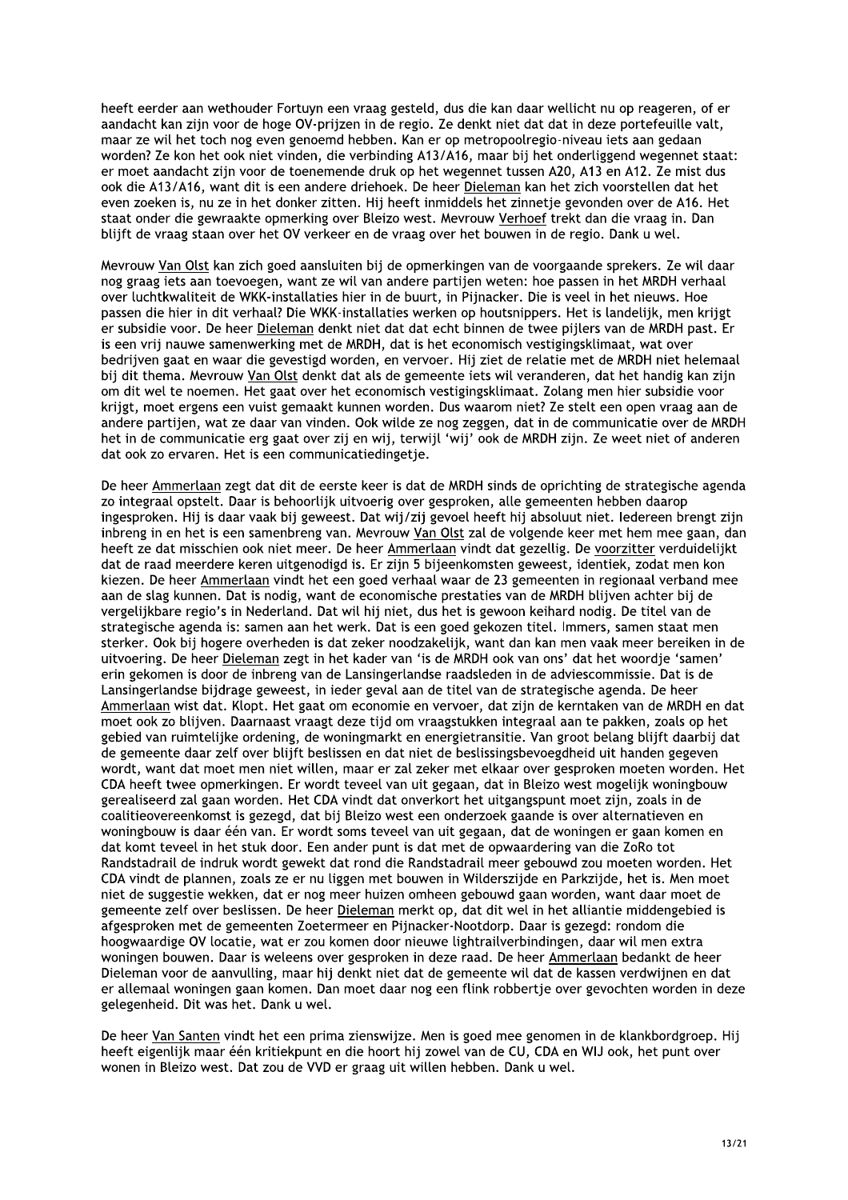heeft eerder aan wethouder Fortuyn een vraag gesteld, dus die kan daar wellicht nu op reageren, of er aandacht kan zijn voor de hoge OV-prijzen in de regio. Ze denkt niet dat dat in deze portefeuille valt. maar ze wil het toch nog even genoemd hebben. Kan er op metropoolregio-niveau iets aan gedaan worden? Ze kon het ook niet vinden, die verbinding A13/A16, maar bij het onderliggend wegennet staat: er moet aandacht zijn voor de toenemende druk op het wegennet tussen A20, A13 en A12. Ze mist dus ook die A13/A16, want dit is een andere driehoek. De heer Dieleman kan het zich voorstellen dat het even zoeken is, nu ze in het donker zitten. Hij heeft inmiddels het zinnetje gevonden over de A16. Het staat onder die gewraakte opmerking over Bleizo west. Mevrouw Verhoef trekt dan die vraag in. Dan blijft de vraag staan over het OV verkeer en de vraag over het bouwen in de regio. Dank u wel.

Mevrouw Van Olst kan zich goed aansluiten bij de opmerkingen van de voorgaande sprekers. Ze wil daar nog graag iets aan toevoegen, want ze wil van andere partijen weten: hoe passen in het MRDH verhaal over luchtkwaliteit de WKK-installaties hier in de buurt, in Pijnacker. Die is veel in het nieuws. Hoe passen die hier in dit verhaal? Die WKK-installaties werken op houtsnippers. Het is landelijk, men krijgt er subsidie voor. De heer Dieleman denkt niet dat dat echt binnen de twee pijlers van de MRDH past. Er is een vrij nauwe samenwerking met de MRDH, dat is het economisch vestigingsklimaat, wat over bedrijven gaat en waar die gevestigd worden, en vervoer. Hij ziet de relatie met de MRDH niet helemaal bij dit thema. Mevrouw Van Olst denkt dat als de gemeente iets wil veranderen, dat het handig kan zijn om dit wel te noemen. Het gaat over het economisch vestigingsklimaat. Zolang men hier subsidie voor krijgt, moet ergens een vuist gemaakt kunnen worden. Dus waarom niet? Ze stelt een open vraag aan de andere partijen, wat ze daar van vinden. Ook wilde ze nog zeggen, dat in de communicatie over de MRDH het in de communicatie erg gaat over zij en wij, terwijl 'wij' ook de MRDH zijn. Ze weet niet of anderen dat ook zo ervaren. Het is een communicatiedingetje.

De heer Ammerlaan zegt dat dit de eerste keer is dat de MRDH sinds de oprichting de strategische agenda zo integraal opstelt. Daar is behoorlijk uitvoerig over gesproken, alle gemeenten hebben daarop ingesproken. Hij is daar vaak bij geweest. Dat wij/zij gevoel heeft hij absoluut niet. Iedereen brengt zijn inbreng in en het is een samenbreng van. Mevrouw Van Olst zal de volgende keer met hem mee gaan, dan heeft ze dat misschien ook niet meer. De heer Ammerlaan vindt dat gezellig. De voorzitter verduidelijkt dat de raad meerdere keren uitgenodigd is. Er zijn 5 bijeenkomsten geweest, identiek, zodat men kon kiezen. De heer Ammerlaan vindt het een goed verhaal waar de 23 gemeenten in regionaal verband mee aan de slag kunnen. Dat is nodig, want de economische prestaties van de MRDH blijven achter bij de vergelijkbare regio's in Nederland. Dat wil hij niet, dus het is gewoon keihard nodig. De titel van de strategische agenda is: samen aan het werk. Dat is een goed gekozen titel. Immers, samen staat men sterker. Ook bij hogere overheden is dat zeker noodzakelijk, want dan kan men vaak meer bereiken in de uitvoering. De heer Dieleman zegt in het kader van 'is de MRDH ook van ons' dat het woordje 'samen' erin gekomen is door de inbreng van de Lansingerlandse raadsleden in de adviescommissie. Dat is de Lansingerlandse bijdrage geweest, in ieder geval aan de titel van de strategische agenda. De heer Ammerlaan wist dat. Klopt. Het gaat om economie en vervoer, dat zijn de kerntaken van de MRDH en dat moet ook zo blijven. Daarnaast vraagt deze tijd om vraagstukken integraal aan te pakken, zoals op het gebied van ruimtelijke ordening, de woningmarkt en energietransitie. Van groot belang blijft daarbij dat de gemeente daar zelf over blijft beslissen en dat niet de beslissingsbevoegdheid uit handen gegeven wordt, want dat moet men niet willen, maar er zal zeker met elkaar over gesproken moeten worden. Het CDA heeft twee opmerkingen. Er wordt teveel van uit gegaan, dat in Bleizo west mogelijk woningbouw gerealiseerd zal gaan worden. Het CDA vindt dat onverkort het uitgangspunt moet zijn, zoals in de coalitieovereenkomst is gezegd, dat bij Bleizo west een onderzoek gaande is over alternatieven en woningbouw is daar één van. Er wordt soms teveel van uit gegaan, dat de woningen er gaan komen en dat komt teveel in het stuk door. Een ander punt is dat met de opwaardering van die ZoRo tot Randstadrail de indruk wordt gewekt dat rond die Randstadrail meer gebouwd zou moeten worden. Het CDA vindt de plannen, zoals ze er nu liggen met bouwen in Wilderszijde en Parkzijde, het is. Men moet niet de suggestie wekken, dat er nog meer huizen omheen gebouwd gaan worden, want daar moet de gemeente zelf over beslissen. De heer Dieleman merkt op, dat dit wel in het alliantie middengebied is afgesproken met de gemeenten Zoetermeer en Pijnacker-Nootdorp. Daar is gezegd: rondom die hoogwaardige OV locatie, wat er zou komen door nieuwe lightrailverbindingen, daar wil men extra woningen bouwen. Daar is weleens over gesproken in deze raad. De heer Ammerlaan bedankt de heer Dieleman voor de aanvulling, maar hij denkt niet dat de gemeente wil dat de kassen verdwijnen en dat er allemaal woningen gaan komen. Dan moet daar nog een flink robbertje over gevochten worden in deze gelegenheid. Dit was het. Dank u wel.

De heer Van Santen vindt het een prima zienswijze. Men is goed mee genomen in de klankbordgroep. Hij heeft eigenlijk maar één kritiekpunt en die hoort hij zowel van de CU, CDA en WIJ ook, het punt over wonen in Bleizo west. Dat zou de VVD er graag uit willen hebben. Dank u wel.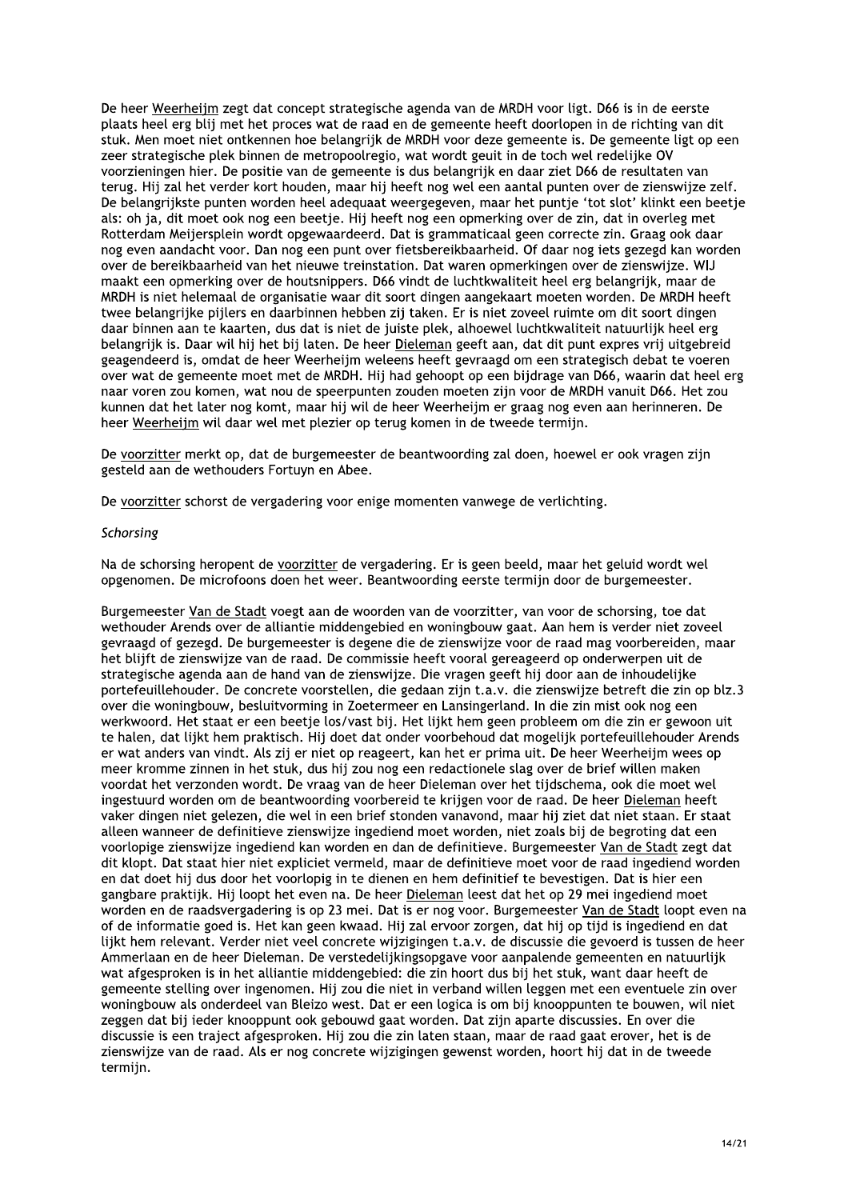De heer Weerheijm zegt dat concept strategische agenda van de MRDH voor ligt. D66 is in de eerste plaats heel erg blij met het proces wat de raad en de gemeente heeft doorlopen in de richting van dit stuk. Men moet niet ontkennen hoe belangrijk de MRDH voor deze gemeente is. De gemeente ligt op een zeer strategische plek binnen de metropoolregio, wat wordt geuit in de toch wel redelijke OV voorzieningen hier. De positie van de gemeente is dus belangrijk en daar ziet D66 de resultaten van terug. Hij zal het verder kort houden, maar hij heeft nog wel een aantal punten over de zienswijze zelf. De belangrijkste punten worden heel adequaat weergegeven, maar het puntje 'tot slot' klinkt een beetje als: oh ja, dit moet ook nog een beetje. Hij heeft nog een opmerking over de zin, dat in overleg met Rotterdam Meijersplein wordt opgewaardeerd. Dat is grammaticaal geen correcte zin. Graag ook daar nog even aandacht voor. Dan nog een punt over fietsbereikbaarheid. Of daar nog iets gezegd kan worden over de bereikbaarheid van het nieuwe treinstation. Dat waren opmerkingen over de zienswijze. WIJ maakt een opmerking over de houtsnippers. D66 vindt de luchtkwaliteit heel erg belangrijk, maar de MRDH is niet helemaal de organisatie waar dit soort dingen aangekaart moeten worden. De MRDH heeft twee belangrijke pijlers en daarbinnen hebben zij taken. Er is niet zoveel ruimte om dit soort dingen daar binnen aan te kaarten, dus dat is niet de juiste plek, alhoewel luchtkwaliteit natuurlijk heel erg belangrijk is. Daar wil hij het bij laten. De heer Dieleman geeft aan, dat dit punt expres vrij uitgebreid geagendeerd is, omdat de heer Weerheijm weleens heeft gevraagd om een strategisch debat te voeren over wat de gemeente moet met de MRDH. Hij had gehoopt op een bijdrage van D66, waarin dat heel erg naar voren zou komen, wat nou de speerpunten zouden moeten zijn voor de MRDH vanuit D66. Het zou kunnen dat het later nog komt, maar hij wil de heer Weerheijm er graag nog even aan herinneren. De heer Weerheijm wil daar wel met plezier op terug komen in de tweede termijn.

De voorzitter merkt op, dat de burgemeester de beantwoording zal doen, hoewel er ook vragen zijn gesteld aan de wethouders Fortuyn en Abee.

De voorzitter schorst de vergadering voor enige momenten vanwege de verlichting.

#### Schorsing

Na de schorsing heropent de voorzitter de vergadering. Er is geen beeld, maar het geluid wordt wel opgenomen. De microfoons doen het weer. Beantwoording eerste termijn door de burgemeester.

Burgemeester Van de Stadt voegt aan de woorden van de voorzitter, van voor de schorsing, toe dat wethouder Arends over de alliantie middengebied en woningbouw gaat. Aan hem is verder niet zoveel gevraagd of gezegd. De burgemeester is degene die de zienswijze voor de raad mag voorbereiden, maar het blijft de zienswijze van de raad. De commissie heeft vooral gereageerd op onderwerpen uit de strategische agenda aan de hand van de zienswijze. Die vragen geeft hij door aan de inhoudelijke portefeuillehouder. De concrete voorstellen, die gedaan zijn t.a.v. die zienswijze betreft die zin op blz.3 over die woningbouw, besluitvorming in Zoetermeer en Lansingerland. In die zin mist ook nog een werkwoord. Het staat er een beetje los/vast bij. Het lijkt hem geen probleem om die zin er gewoon uit te halen, dat lijkt hem praktisch. Hij doet dat onder voorbehoud dat mogelijk portefeuillehouder Arends er wat anders van vindt. Als zij er niet op reageert, kan het er prima uit. De heer Weerheijm wees op meer kromme zinnen in het stuk, dus hij zou nog een redactionele slag over de brief willen maken voordat het verzonden wordt. De vraag van de heer Dieleman over het tijdschema, ook die moet wel ingestuurd worden om de beantwoording voorbereid te krijgen voor de raad. De heer Dieleman heeft vaker dingen niet gelezen, die wel in een brief stonden vanavond, maar hij ziet dat niet staan. Er staat alleen wanneer de definitieve zienswijze ingediend moet worden, niet zoals bij de begroting dat een voorlopige zienswijze ingediend kan worden en dan de definitieve. Burgemeester Van de Stadt zegt dat dit klopt. Dat staat hier niet expliciet vermeld, maar de definitieve moet voor de raad ingediend worden en dat doet hij dus door het voorlopig in te dienen en hem definitief te bevestigen. Dat is hier een gangbare praktijk. Hij loopt het even na. De heer Dieleman leest dat het op 29 mei ingediend moet worden en de raadsvergadering is op 23 mei. Dat is er nog voor. Burgemeester Van de Stadt loopt even na of de informatie goed is. Het kan geen kwaad. Hij zal ervoor zorgen, dat hij op tijd is ingediend en dat lijkt hem relevant. Verder niet veel concrete wijzigingen t.a.v. de discussie die gevoerd is tussen de heer Ammerlaan en de heer Dieleman. De verstedelijkingsopgave voor aanpalende gemeenten en natuurlijk wat afgesproken is in het alliantie middengebied: die zin hoort dus bij het stuk, want daar heeft de gemeente stelling over ingenomen. Hij zou die niet in verband willen leggen met een eventuele zin over woningbouw als onderdeel van Bleizo west. Dat er een logica is om bij knooppunten te bouwen, wil niet zeggen dat bij ieder knooppunt ook gebouwd gaat worden. Dat zijn aparte discussies. En over die discussie is een traject afgesproken. Hij zou die zin laten staan, maar de raad gaat erover, het is de zienswijze van de raad. Als er nog concrete wijzigingen gewenst worden, hoort hij dat in de tweede termijn.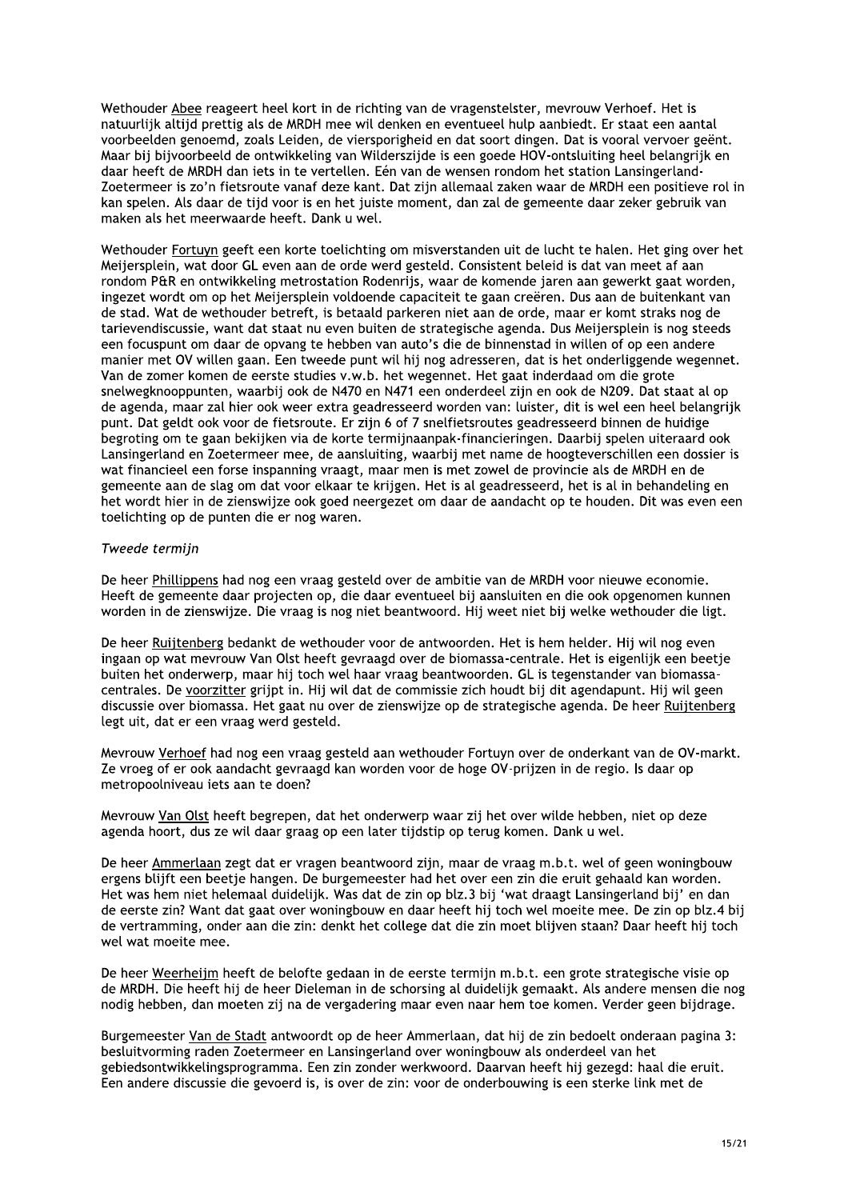Wethouder Abee reageert heel kort in de richting van de vragenstelster, mevrouw Verhoef. Het is natuurlijk altijd prettig als de MRDH mee wil denken en eventueel hulp aanbiedt. Er staat een aantal voorbeelden genoemd, zoals Leiden, de viersporigheid en dat soort dingen. Dat is vooral vervoer geënt. Maar bij bijvoorbeeld de ontwikkeling van Wilderszijde is een goede HOV-ontsluiting heel belangrijk en daar heeft de MRDH dan iets in te vertellen. Eén van de wensen rondom het station Lansingerland-Zoetermeer is zo'n fietsroute vanaf deze kant. Dat zijn allemaal zaken waar de MRDH een positieve rol in kan spelen. Als daar de tijd voor is en het juiste moment, dan zal de gemeente daar zeker gebruik van maken als het meerwaarde heeft. Dank u wel.

Wethouder Fortuyn geeft een korte toelichting om misverstanden uit de lucht te halen. Het ging over het Meijersplein, wat door GL even aan de orde werd gesteld. Consistent beleid is dat van meet af aan rondom P&R en ontwikkeling metrostation Rodenrijs, waar de komende jaren aan gewerkt gaat worden, ingezet wordt om op het Meijersplein voldoende capaciteit te gaan creëren. Dus aan de buitenkant van de stad. Wat de wethouder betreft, is betaald parkeren niet aan de orde, maar er komt straks nog de tarievendiscussie, want dat staat nu even buiten de strategische agenda. Dus Meijersplein is nog steeds een focuspunt om daar de opvang te hebben van auto's die de binnenstad in willen of op een andere manier met OV willen gaan. Een tweede punt wil hij nog adresseren, dat is het onderliggende wegennet. Van de zomer komen de eerste studies v.w.b. het wegennet. Het gaat inderdaad om die grote snelwegknooppunten, waarbij ook de N470 en N471 een onderdeel zijn en ook de N209. Dat staat al op de agenda, maar zal hier ook weer extra geadresseerd worden van: luister, dit is wel een heel belangrijk punt. Dat geldt ook voor de fietsroute. Er zijn 6 of 7 snelfietsroutes geadresseerd binnen de huidige begroting om te gaan bekijken via de korte termijnaanpak-financieringen. Daarbij spelen uiteraard ook Lansingerland en Zoetermeer mee, de aansluiting, waarbij met name de hoogteverschillen een dossier is wat financieel een forse inspanning vraagt, maar men is met zowel de provincie als de MRDH en de gemeente aan de slag om dat voor elkaar te krijgen. Het is al geadresseerd, het is al in behandeling en het wordt hier in de zienswijze ook goed neergezet om daar de aandacht op te houden. Dit was even een toelichting op de punten die er nog waren.

## Tweede termijn

De heer Phillippens had nog een vraag gesteld over de ambitie van de MRDH voor nieuwe economie. Heeft de gemeente daar projecten op, die daar eventueel bij aansluiten en die ook opgenomen kunnen worden in de zienswijze. Die vraag is nog niet beantwoord. Hij weet niet bij welke wethouder die ligt.

De heer Ruijtenberg bedankt de wethouder voor de antwoorden. Het is hem helder. Hij wil nog even ingaan op wat mevrouw Van Olst heeft gevraagd over de biomassa-centrale. Het is eigenlijk een beetje buiten het onderwerp, maar hij toch wel haar vraag beantwoorden. GL is tegenstander van biomassacentrales. De voorzitter grijpt in. Hij wil dat de commissie zich houdt bij dit agendapunt. Hij wil geen discussie over biomassa. Het gaat nu over de zienswijze op de strategische agenda. De heer Ruijtenberg legt uit, dat er een vraag werd gesteld.

Mevrouw Verhoef had nog een vraag gesteld aan wethouder Fortuyn over de onderkant van de OV-markt. Ze vroeg of er ook aandacht gevraagd kan worden voor de hoge OV-prijzen in de regio. Is daar op metropoolniveau iets aan te doen?

Mevrouw Van Olst heeft begrepen, dat het onderwerp waar zij het over wilde hebben, niet op deze agenda hoort, dus ze wil daar graag op een later tijdstip op terug komen. Dank u wel.

De heer Ammerlaan zegt dat er vragen beantwoord zijn, maar de vraag m.b.t. wel of geen woningbouw ergens blijft een beetje hangen. De burgemeester had het over een zin die eruit gehaald kan worden. Het was hem niet helemaal duidelijk. Was dat de zin op blz.3 bij 'wat draagt Lansingerland bij' en dan de eerste zin? Want dat gaat over woningbouw en daar heeft hij toch wel moeite mee. De zin op blz.4 bij de vertramming, onder aan die zin: denkt het college dat die zin moet blijven staan? Daar heeft hij toch wel wat moeite mee.

De heer Weerheijm heeft de belofte gedaan in de eerste termijn m.b.t. een grote strategische visie op de MRDH. Die heeft hij de heer Dieleman in de schorsing al duidelijk gemaakt. Als andere mensen die nog nodig hebben, dan moeten zij na de vergadering maar even naar hem toe komen. Verder geen bijdrage.

Burgemeester Van de Stadt antwoordt op de heer Ammerlaan, dat hij de zin bedoelt onderaan pagina 3: besluitvorming raden Zoetermeer en Lansingerland over woningbouw als onderdeel van het gebiedsontwikkelingsprogramma. Een zin zonder werkwoord. Daarvan heeft hij gezegd: haal die eruit. Een andere discussie die gevoerd is, is over de zin: voor de onderbouwing is een sterke link met de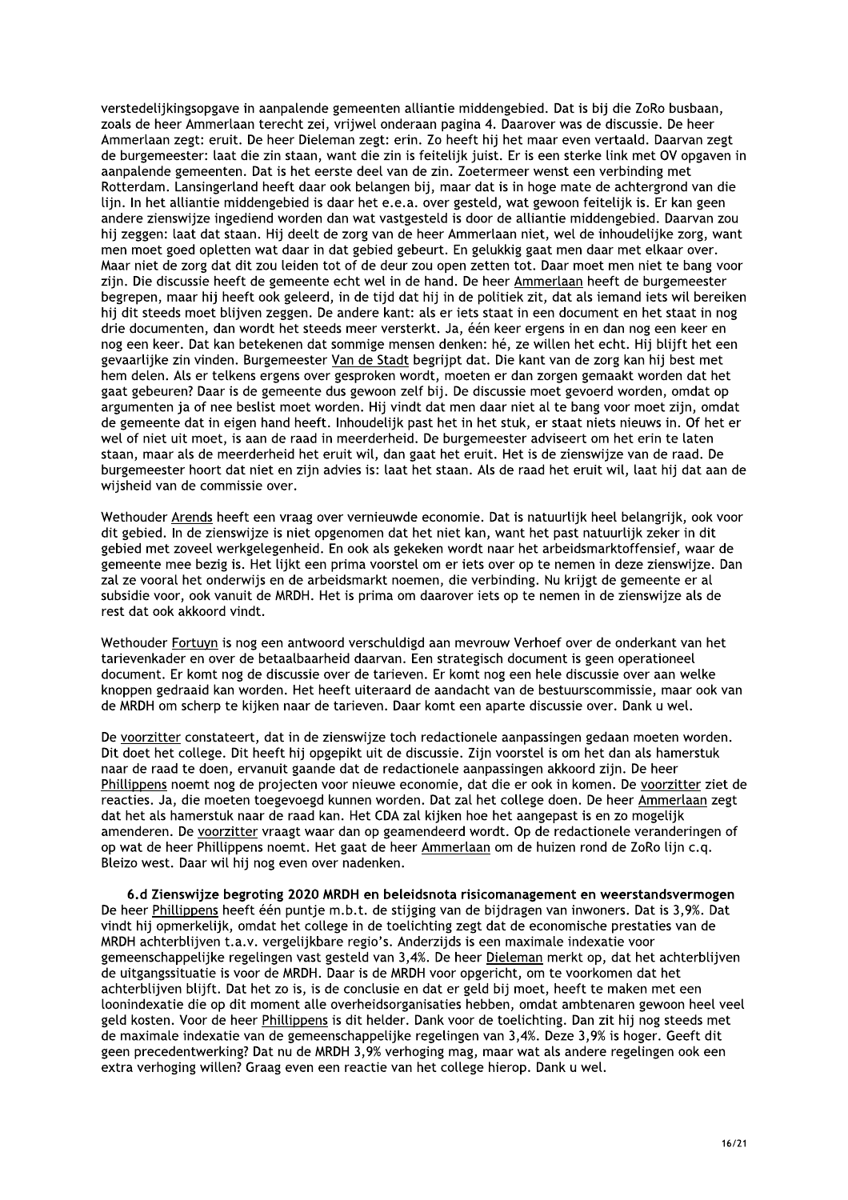verstedelijkingsopgave in aanpalende gemeenten alliantie middengebied. Dat is bij die ZoRo busbaan, zoals de heer Ammerlaan terecht zei, vrijwel onderaan pagina 4. Daarover was de discussie. De heer Ammerlaan zegt: eruit. De heer Dieleman zegt: erin. Zo heeft hij het maar even vertaald. Daarvan zegt de burgemeester: laat die zin staan, want die zin is feitelijk juist. Er is een sterke link met OV opgaven in aanpalende gemeenten. Dat is het eerste deel van de zin. Zoetermeer wenst een verbinding met Rotterdam. Lansingerland heeft daar ook belangen bij, maar dat is in hoge mate de achtergrond van die lijn. In het alliantie middengebied is daar het e.e.a. over gesteld, wat gewoon feitelijk is. Er kan geen andere zienswijze ingediend worden dan wat vastgesteld is door de alliantie middengebied. Daarvan zou hij zeggen: laat dat staan. Hij deelt de zorg van de heer Ammerlaan niet, wel de inhoudelijke zorg, want men moet goed opletten wat daar in dat gebied gebeurt. En gelukkig gaat men daar met elkaar over. Maar niet de zorg dat dit zou leiden tot of de deur zou open zetten tot. Daar moet men niet te bang voor zijn. Die discussie heeft de gemeente echt wel in de hand. De heer Ammerlaan heeft de burgemeester begrepen, maar hij heeft ook geleerd, in de tijd dat hij in de politiek zit, dat als iemand jets wil bereiken hij dit steeds moet blijven zeggen. De andere kant: als er iets staat in een document en het staat in nog drie documenten, dan wordt het steeds meer versterkt. Ja, één keer ergens in en dan nog een keer en nog een keer. Dat kan betekenen dat sommige mensen denken: hé, ze willen het echt. Hij blijft het een gevaarlijke zin vinden. Burgemeester Van de Stadt begrijpt dat. Die kant van de zorg kan hij best met hem delen. Als er telkens ergens over gesproken wordt, moeten er dan zorgen gemaakt worden dat het gaat gebeuren? Daar is de gemeente dus gewoon zelf bij. De discussie moet gevoerd worden, omdat op argumenten ja of nee beslist moet worden. Hij vindt dat men daar niet al te bang voor moet zijn, omdat de gemeente dat in eigen hand heeft. Inhoudelijk past het in het stuk, er staat niets nieuws in. Of het er wel of niet uit moet, is aan de raad in meerderheid. De burgemeester adviseert om het erin te laten staan, maar als de meerderheid het eruit wil, dan gaat het eruit. Het is de zienswijze van de raad. De burgemeester hoort dat niet en zijn advies is: laat het staan. Als de raad het eruit wil, laat hij dat aan de wijsheid van de commissie over.

Wethouder Arends heeft een vraag over vernieuwde economie. Dat is natuurlijk heel belangrijk, ook voor dit gebied. In de zienswijze is niet opgenomen dat het niet kan, want het past natuurlijk zeker in dit gebied met zoveel werkgelegenheid. En ook als gekeken wordt naar het arbeidsmarktoffensief, waar de gemeente mee bezig is. Het lijkt een prima voorstel om er jets over op te nemen in deze zienswijze. Dan zal ze vooral het onderwijs en de arbeidsmarkt noemen, die verbinding. Nu krijgt de gemeente er al subsidie voor, ook vanuit de MRDH. Het is prima om daarover iets op te nemen in de zienswijze als de rest dat ook akkoord vindt.

Wethouder Fortuyn is nog een antwoord verschuldigd aan mevrouw Verhoef over de onderkant van het tarievenkader en over de betaalbaarheid daarvan. Een strategisch document is geen operationeel document. Er komt nog de discussie over de tarieven. Er komt nog een hele discussie over aan welke knoppen gedraaid kan worden. Het heeft uiteraard de aandacht van de bestuurscommissie, maar ook van de MRDH om scherp te kijken naar de tarieven. Daar komt een aparte discussie over. Dank u wel.

De voorzitter constateert, dat in de zienswijze toch redactionele aanpassingen gedaan moeten worden. Dit doet het college. Dit heeft hij opgepikt uit de discussie. Zijn voorstel is om het dan als hamerstuk naar de raad te doen, ervanuit gaande dat de redactionele aanpassingen akkoord zijn. De heer Phillippens noemt nog de projecten voor nieuwe economie, dat die er ook in komen. De voorzitter ziet de reacties. Ja, die moeten toegevoegd kunnen worden. Dat zal het college doen. De heer Ammerlaan zegt dat het als hamerstuk naar de raad kan. Het CDA zal kijken hoe het aangepast is en zo mogelijk amenderen. De voorzitter vraagt waar dan op geamendeerd wordt. Op de redactionele veranderingen of op wat de heer Phillippens noemt. Het gaat de heer Ammerlaan om de huizen rond de ZoRo lijn c.q. Bleizo west. Daar wil hij nog even over nadenken.

6.d Zienswijze begroting 2020 MRDH en beleidsnota risicomanagement en weerstandsvermogen De heer Phillippens heeft één puntje m.b.t. de stijging van de bijdragen van inwoners. Dat is 3,9%. Dat vindt hij opmerkelijk, omdat het college in de toelichting zegt dat de economische prestaties van de MRDH achterblijven t.a.v. vergelijkbare regio's. Anderzijds is een maximale indexatie voor gemeenschappelijke regelingen vast gesteld van 3,4%. De heer Dieleman merkt op, dat het achterblijven de uitgangssituatie is voor de MRDH. Daar is de MRDH voor opgericht, om te voorkomen dat het achterblijven blijft. Dat het zo is, is de conclusie en dat er geld bij moet, heeft te maken met een loonindexatie die op dit moment alle overheidsorganisaties hebben, omdat ambtenaren gewoon heel veel geld kosten. Voor de heer Phillippens is dit helder. Dank voor de toelichting. Dan zit hij nog steeds met de maximale indexatie van de gemeenschappelijke regelingen van 3,4%. Deze 3,9% is hoger. Geeft dit geen precedentwerking? Dat nu de MRDH 3,9% verhoging mag, maar wat als andere regelingen ook een extra verhoging willen? Graag even een reactie van het college hierop. Dank u wel.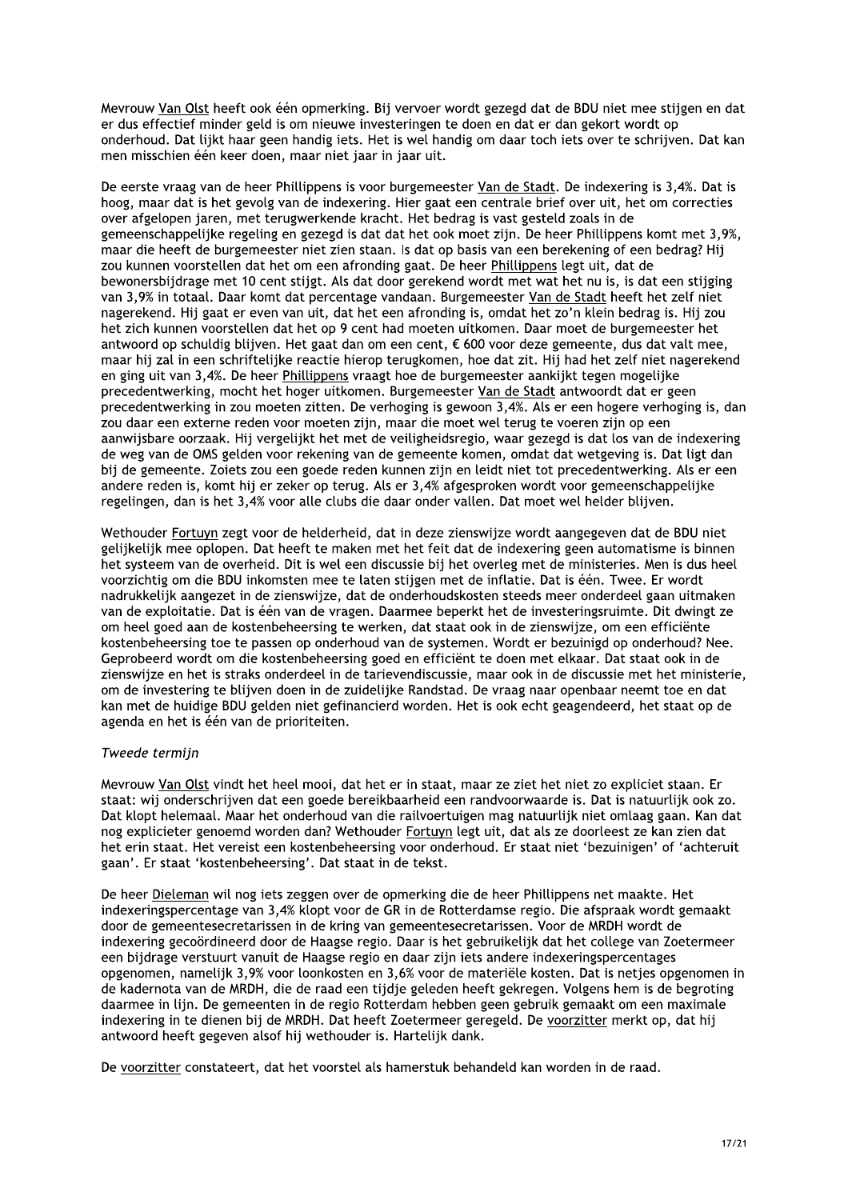Meyrouw Van Olst heeft ook één opmerking. Bij vervoer wordt gezegd dat de BDU niet mee stijgen en dat er dus effectief minder geld is om nieuwe investeringen te doen en dat er dan gekort wordt op onderhoud. Dat lijkt haar geen handig iets. Het is wel handig om daar toch iets over te schrijven. Dat kan men misschien één keer doen, maar niet jaar in jaar uit.

De eerste vraag van de heer Phillippens is voor burgemeester Van de Stadt. De indexering is 3,4%. Dat is hoog, maar dat is het gevolg van de indexering. Hier gaat een centrale brief over uit, het om correcties over afgelopen jaren, met terugwerkende kracht. Het bedrag is vast gesteld zoals in de gemeenschappelijke regeling en gezegd is dat dat het ook moet zijn. De heer Phillippens komt met 3,9%, maar die heeft de burgemeester niet zien staan. Is dat op basis van een berekening of een bedrag? Hij zou kunnen voorstellen dat het om een afronding gaat. De heer Phillippens legt uit, dat de bewonersbijdrage met 10 cent stijgt. Als dat door gerekend wordt met wat het nu is, is dat een stijging van 3,9% in totaal. Daar komt dat percentage vandaan. Burgemeester Van de Stadt heeft het zelf niet nagerekend. Hij gaat er even van uit, dat het een afronding is, omdat het zo'n klein bedrag is. Hij zou het zich kunnen voorstellen dat het op 9 cent had moeten uitkomen. Daar moet de burgemeester het antwoord op schuldig blijven. Het gaat dan om een cent, € 600 voor deze gemeente, dus dat valt mee, maar hij zal in een schriftelijke reactie hierop terugkomen, hoe dat zit. Hij had het zelf niet nagerekend en ging uit van 3,4%. De heer Phillippens vraagt hoe de burgemeester aankijkt tegen mogelijke precedentwerking, mocht het hoger uitkomen. Burgemeester Van de Stadt antwoordt dat er geen precedentwerking in zou moeten zitten. De verhoging is gewoon 3,4%. Als er een hogere verhoging is, dan zou daar een externe reden voor moeten zijn, maar die moet wel terug te voeren zijn op een aanwijsbare oorzaak. Hij vergelijkt het met de veiligheidsregio, waar gezegd is dat los van de indexering de weg van de OMS gelden voor rekening van de gemeente komen, omdat dat wetgeving is. Dat ligt dan bij de gemeente. Zoiets zou een goede reden kunnen zijn en leidt niet tot precedentwerking. Als er een andere reden is, komt hij er zeker op terug. Als er 3,4% afgesproken wordt voor gemeenschappelijke regelingen, dan is het 3,4% voor alle clubs die daar onder vallen. Dat moet wel helder blijven.

Wethouder Fortuyn zegt voor de helderheid, dat in deze zienswijze wordt aangegeven dat de BDU niet gelijkelijk mee oplopen. Dat heeft te maken met het feit dat de indexering geen automatisme is binnen het systeem van de overheid. Dit is wel een discussie bij het overleg met de ministeries. Men is dus heel voorzichtig om die BDU inkomsten mee te laten stijgen met de inflatie. Dat is één. Twee. Er wordt nadrukkelijk aangezet in de zienswijze, dat de onderhoudskosten steeds meer onderdeel gaan uitmaken van de exploitatie. Dat is één van de vragen. Daarmee beperkt het de investeringsruimte. Dit dwingt ze om heel goed aan de kostenbeheersing te werken, dat staat ook in de zienswijze, om een efficiënte kostenbeheersing toe te passen op onderhoud van de systemen. Wordt er bezuinigd op onderhoud? Nee. Geprobeerd wordt om die kostenbeheersing goed en efficiënt te doen met elkaar. Dat staat ook in de zienswijze en het is straks onderdeel in de tarievendiscussie, maar ook in de discussie met het ministerie, om de investering te blijven doen in de zuidelijke Randstad. De vraag naar openbaar neemt toe en dat kan met de huidige BDU gelden niet gefinancierd worden. Het is ook echt geagendeerd, het staat op de agenda en het is één van de prioriteiten.

## Tweede termijn

Mevrouw Van Olst vindt het heel mooi, dat het er in staat, maar ze ziet het niet zo expliciet staan. Er staat: wij onderschrijven dat een goede bereikbaarheid een randvoorwaarde is. Dat is natuurlijk ook zo. Dat klopt helemaal. Maar het onderhoud van die railvoertuigen mag natuurlijk niet omlaag gaan. Kan dat nog explicieter genoemd worden dan? Wethouder Fortuyn legt uit, dat als ze doorleest ze kan zien dat het erin staat. Het vereist een kostenbeheersing voor onderhoud. Er staat niet 'bezuinigen' of 'achteruit gaan'. Er staat 'kostenbeheersing'. Dat staat in de tekst.

De heer Dieleman wil nog iets zeggen over de opmerking die de heer Phillippens net maakte. Het indexeringspercentage van 3,4% klopt voor de GR in de Rotterdamse regio. Die afspraak wordt gemaakt door de gemeentesecretarissen in de kring van gemeentesecretarissen. Voor de MRDH wordt de indexering gecoördineerd door de Haagse regio. Daar is het gebruikelijk dat het college van Zoetermeer een bijdrage verstuurt vanuit de Haagse regio en daar zijn iets andere indexeringspercentages opgenomen, namelijk 3,9% voor loonkosten en 3,6% voor de materiële kosten. Dat is netjes opgenomen in de kadernota van de MRDH, die de raad een tijdje geleden heeft gekregen. Volgens hem is de begroting daarmee in lijn. De gemeenten in de regio Rotterdam hebben geen gebruik gemaakt om een maximale indexering in te dienen bij de MRDH. Dat heeft Zoetermeer geregeld. De voorzitter merkt op, dat hij antwoord heeft gegeven alsof hij wethouder is. Hartelijk dank.

De voorzitter constateert, dat het voorstel als hamerstuk behandeld kan worden in de raad.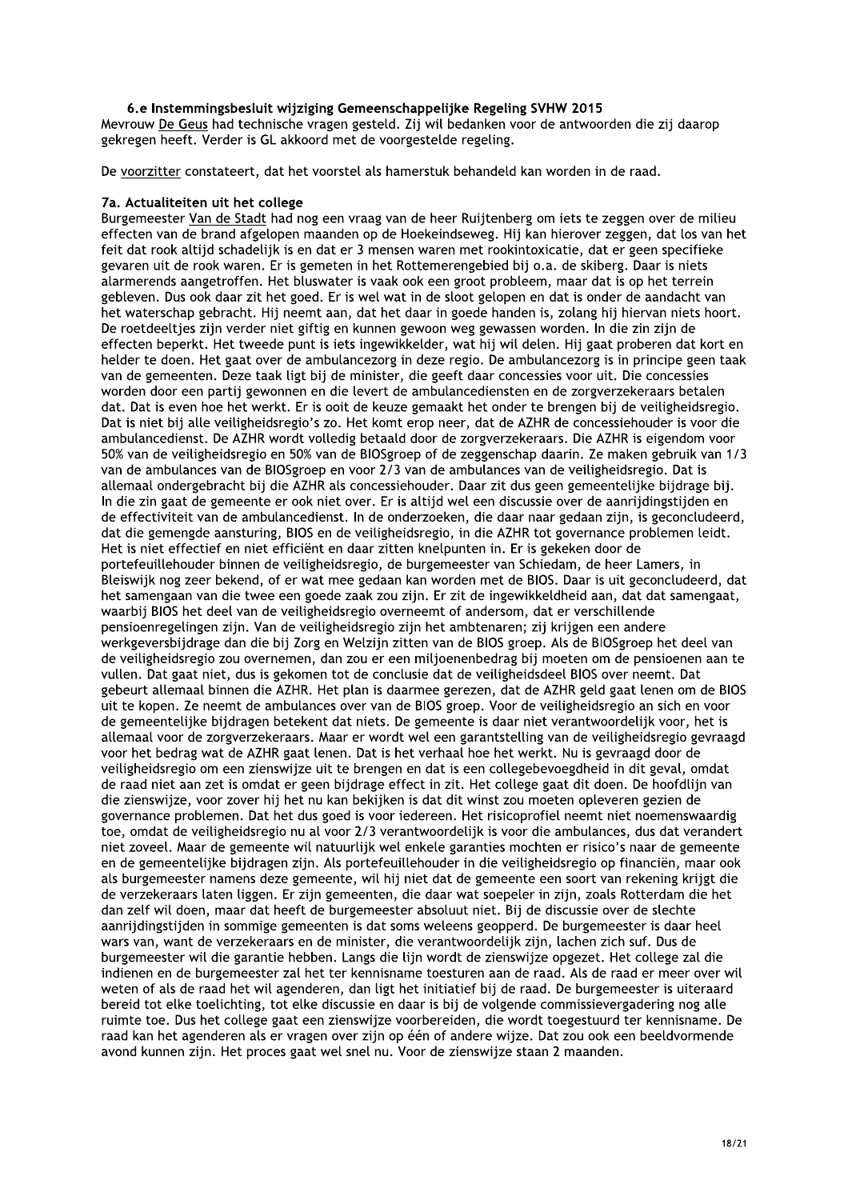## 6.e Instemmingsbesluit wiiziging Gemeenschappelijke Regeling SVHW 2015

Mevrouw De Geus had technische vragen gesteld. Zij wil bedanken voor de antwoorden die zij daarop gekregen heeft. Verder is GL akkoord met de voorgestelde regeling.

De voorzitter constateert, dat het voorstel als hamerstuk behandeld kan worden in de raad.

#### 7a. Actualiteiten uit het college

Burgemeester Van de Stadt had nog een vraag van de heer Ruijtenberg om iets te zeggen over de milieu effecten van de brand afgelopen maanden op de Hoekeindseweg. Hij kan hierover zeggen, dat los van het feit dat rook altijd schadelijk is en dat er 3 mensen waren met rookintoxicatie, dat er geen specifieke gevaren uit de rook waren. Er is gemeten in het Rottemerengebied bij o.a. de skiberg. Daar is niets alarmerends aangetroffen. Het bluswater is vaak ook een groot probleem, maar dat is op het terrein gebleven. Dus ook daar zit het goed. Er is wel wat in de sloot gelopen en dat is onder de aandacht van het waterschap gebracht. Hij neemt aan, dat het daar in goede handen is, zolang hij hiervan niets hoort. De roetdeelties zijn verder niet giftig en kunnen gewoon weg gewassen worden. In die zin zijn de effecten beperkt. Het tweede punt is jets ingewikkelder, wat hij wil delen. Hij gaat proberen dat kort en helder te doen. Het gaat over de ambulancezorg in deze regio. De ambulancezorg is in principe geen taak van de gemeenten. Deze taak ligt bij de minister, die geeft daar concessies voor uit. Die concessies worden door een partij gewonnen en die levert de ambulancediensten en de zorgverzekeraars betalen dat. Dat is even hoe het werkt. Er is ooit de keuze gemaakt het onder te brengen bij de veiligheidsregio. Dat is niet bij alle veiligheidsregio's zo. Het komt erop neer, dat de AZHR de concessiehouder is voor die ambulancedienst. De AZHR wordt volledig betaald door de zorgverzekeraars. Die AZHR is eigendom voor 50% van de veiligheidsregio en 50% van de BIOSgroep of de zeggenschap daarin. Ze maken gebruik van 1/3 van de ambulances van de BIOSgroep en voor 2/3 van de ambulances van de veiligheidsregio. Dat is allemaal ondergebracht bij die AZHR als concessiehouder. Daar zit dus geen gemeentelijke bijdrage bij. In die zin gaat de gemeente er ook niet over. Er is altijd wel een discussie over de aanrijdingstijden en de effectiviteit van de ambulancedienst. In de onderzoeken, die daar naar gedaan zijn, is geconcludeerd, dat die gemengde aansturing, BIOS en de veiligheidsregio, in die AZHR tot governance problemen leidt. Het is niet effectief en niet efficiënt en daar zitten knelpunten in. Er is gekeken door de portefeuillehouder binnen de veiligheidsregio, de burgemeester van Schiedam, de heer Lamers, in Bleiswijk nog zeer bekend, of er wat mee gedaan kan worden met de BIOS. Daar is uit geconcludeerd, dat het samengaan van die twee een goede zaak zou zijn. Er zit de ingewikkeldheid aan, dat dat samengaat, waarbij BIOS het deel van de veiligheidsregio overneemt of andersom, dat er verschillende pensioenregelingen zijn. Van de veiligheidsregio zijn het ambtenaren; zij krijgen een andere werkgeversbijdrage dan die bij Zorg en Welzijn zitten van de BIOS groep. Als de BIOSgroep het deel van de veiligheidsregio zou overnemen, dan zou er een miljoenenbedrag bij moeten om de pensioenen aan te vullen. Dat gaat niet, dus is gekomen tot de conclusie dat de veiligheidsdeel BIOS over neemt. Dat gebeurt allemaal binnen die AZHR. Het plan is daarmee gerezen, dat de AZHR geld gaat lenen om de BIOS uit te kopen. Ze neemt de ambulances over van de BIOS groep. Voor de veiligheidsregio an sich en voor de gemeentelijke bijdragen betekent dat niets. De gemeente is daar niet verantwoordelijk voor, het is allemaal voor de zorgverzekeraars. Maar er wordt wel een garantstelling van de veiligheidsregio gevraagd voor het bedrag wat de AZHR gaat lenen. Dat is het verhaal hoe het werkt. Nu is gevraagd door de veiligheidsregio om een zienswijze uit te brengen en dat is een collegebevoegdheid in dit geval, omdat de raad niet aan zet is omdat er geen bijdrage effect in zit. Het college gaat dit doen. De hoofdlijn van die zienswijze, voor zover hij het nu kan bekijken is dat dit winst zou moeten opleveren gezien de governance problemen. Dat het dus goed is voor iedereen. Het risicoprofiel neemt niet noemenswaardig toe, omdat de veiligheidsregio nu al voor 2/3 verantwoordelijk is voor die ambulances, dus dat verandert niet zoveel. Maar de gemeente wil natuurlijk wel enkele garanties mochten er risico's naar de gemeente en de gemeentelijke bijdragen zijn. Als portefeuillehouder in die veiligheidsregio op financiën, maar ook als burgemeester namens deze gemeente, wil hij niet dat de gemeente een soort van rekening krijgt die de verzekeraars laten liggen. Er zijn gemeenten, die daar wat soepeler in zijn, zoals Rotterdam die het dan zelf wil doen, maar dat heeft de burgemeester absoluut niet. Bij de discussie over de slechte aanrijdingstijden in sommige gemeenten is dat soms weleens geopperd. De burgemeester is daar heel wars van, want de verzekeraars en de minister, die verantwoordelijk zijn, lachen zich suf. Dus de burgemeester wil die garantie hebben. Langs die lijn wordt de zienswijze opgezet. Het college zal die indienen en de burgemeester zal het ter kennisname toesturen aan de raad. Als de raad er meer over wil weten of als de raad het wil agenderen, dan ligt het initiatief bij de raad. De burgemeester is uiteraard bereid tot elke toelichting, tot elke discussie en daar is bij de volgende commissievergadering nog alle ruimte toe. Dus het college gaat een zienswijze voorbereiden, die wordt toegestuurd ter kennisname. De raad kan het agenderen als er vragen over zijn op één of andere wijze. Dat zou ook een beeldvormende avond kunnen zijn. Het proces gaat wel snel nu. Voor de zienswijze staan 2 maanden.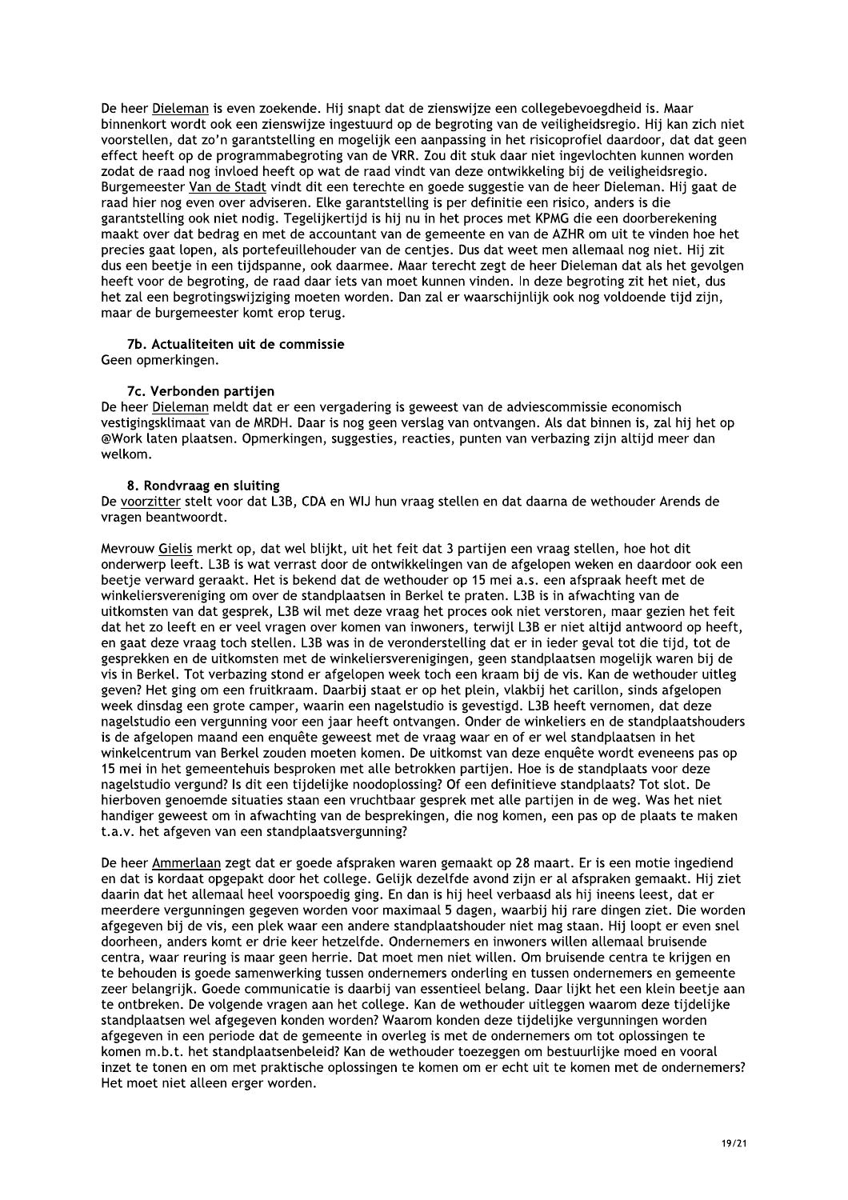De heer Dieleman is even zoekende. Hij snapt dat de zienswijze een collegebevoegdheid is. Maar binnenkort wordt ook een zienswijze ingestuurd op de begroting van de veiligheidsregio. Hij kan zich niet voorstellen, dat zo'n garantstelling en mogelijk een aanpassing in het risicoprofiel daardoor, dat dat geen effect heeft op de programmabegroting van de VRR. Zou dit stuk daar niet ingevlochten kunnen worden zodat de raad nog invloed heeft op wat de raad vindt van deze ontwikkeling bij de veiligheidsregio. Burgemeester Van de Stadt vindt dit een terechte en goede suggestie van de heer Dieleman. Hij gaat de raad hier nog even over adviseren. Elke garantstelling is per definitie een risico, anders is die garantstelling ook niet nodig. Tegelijkertijd is hij nu in het proces met KPMG die een doorberekening maakt over dat bedrag en met de accountant van de gemeente en van de AZHR om uit te vinden hoe het precies gaat lopen, als portefeuillehouder van de centjes. Dus dat weet men allemaal nog niet. Hij zit dus een beetje in een tijdspanne, ook daarmee. Maar terecht zegt de heer Dieleman dat als het gevolgen heeft voor de begroting, de raad daar iets van moet kunnen vinden. In deze begroting zit het niet, dus het zal een begrotingswijziging moeten worden. Dan zal er waarschijnlijk ook nog voldoende tijd zijn, maar de burgemeester komt erop terug.

## 7b. Actualiteiten uit de commissie

Geen opmerkingen.

## 7c. Verbonden partijen

De heer Dieleman meldt dat er een vergadering is geweest van de adviescommissie economisch vestigingsklimaat van de MRDH. Daar is nog geen verslag van ontvangen. Als dat binnen is, zal hij het op @Work laten plaatsen. Opmerkingen, suggesties, reacties, punten van verbazing zijn altijd meer dan welkom.

## 8. Rondvraag en sluiting

De voorzitter stelt voor dat L3B, CDA en WIJ hun vraag stellen en dat daarna de wethouder Arends de vragen beantwoordt.

Mevrouw Gielis merkt op, dat wel blijkt, uit het feit dat 3 partijen een vraag stellen, hoe hot dit onderwerp leeft. L3B is wat verrast door de ontwikkelingen van de afgelopen weken en daardoor ook een beetje verward geraakt. Het is bekend dat de wethouder op 15 mei a.s. een afspraak heeft met de winkeliersvereniging om over de standplaatsen in Berkel te praten. L3B is in afwachting van de uitkomsten van dat gesprek, L3B wil met deze vraag het proces ook niet verstoren, maar gezien het feit dat het zo leeft en er veel vragen over komen van inwoners, terwijl L3B er niet altijd antwoord op heeft, en gaat deze vraag toch stellen. L3B was in de veronderstelling dat er in ieder geval tot die tijd, tot de gesprekken en de uitkomsten met de winkeliersverenigingen, geen standplaatsen mogelijk waren bij de vis in Berkel. Tot verbazing stond er afgelopen week toch een kraam bij de vis. Kan de wethouder uitleg geven? Het ging om een fruitkraam. Daarbij staat er op het plein, vlakbij het carillon, sinds afgelopen week dinsdag een grote camper, waarin een nagelstudio is gevestigd. L3B heeft vernomen, dat deze nagelstudio een vergunning voor een jaar heeft ontvangen. Onder de winkeliers en de standplaatshouders is de afgelopen maand een enquête geweest met de vraag waar en of er wel standplaatsen in het winkelcentrum van Berkel zouden moeten komen. De uitkomst van deze enguête wordt eveneens pas op 15 mei in het gemeentehuis besproken met alle betrokken partijen. Hoe is de standplaats voor deze nagelstudio vergund? Is dit een tijdelijke noodoplossing? Of een definitieve standplaats? Tot slot, De hierboven genoemde situaties staan een vruchtbaar gesprek met alle partijen in de weg. Was het niet handiger geweest om in afwachting van de besprekingen, die nog komen, een pas op de plaats te maken t.a.v. het afgeven van een standplaatsvergunning?

De heer Ammerlaan zegt dat er goede afspraken waren gemaakt op 28 maart. Er is een motie ingediend en dat is kordaat opgepakt door het college. Gelijk dezelfde avond zijn er al afspraken gemaakt. Hij ziet daarin dat het allemaal heel voorspoedig ging. En dan is hij heel verbaasd als hij ineens leest, dat er meerdere vergunningen gegeven worden voor maximaal 5 dagen, waarbij hij rare dingen ziet. Die worden afgegeven bij de vis, een plek waar een andere standplaatshouder niet mag staan. Hij loopt er even snel doorheen, anders komt er drie keer hetzelfde. Ondernemers en inwoners willen allemaal bruisende centra, waar reuring is maar geen herrie. Dat moet men niet willen. Om bruisende centra te krijgen en te behouden is goede samenwerking tussen ondernemers onderling en tussen ondernemers en gemeente zeer belangrijk. Goede communicatie is daarbij van essentieel belang. Daar lijkt het een klein beetje aan te ontbreken. De volgende vragen aan het college. Kan de wethouder uitleggen waarom deze tijdelijke standplaatsen wel afgegeven konden worden? Waarom konden deze tijdelijke vergunningen worden afgegeven in een periode dat de gemeente in overleg is met de ondernemers om tot oplossingen te komen m.b.t. het standplaatsenbeleid? Kan de wethouder toezeggen om bestuurlijke moed en vooral inzet te tonen en om met praktische oplossingen te komen om er echt uit te komen met de ondernemers? Het moet niet alleen erger worden.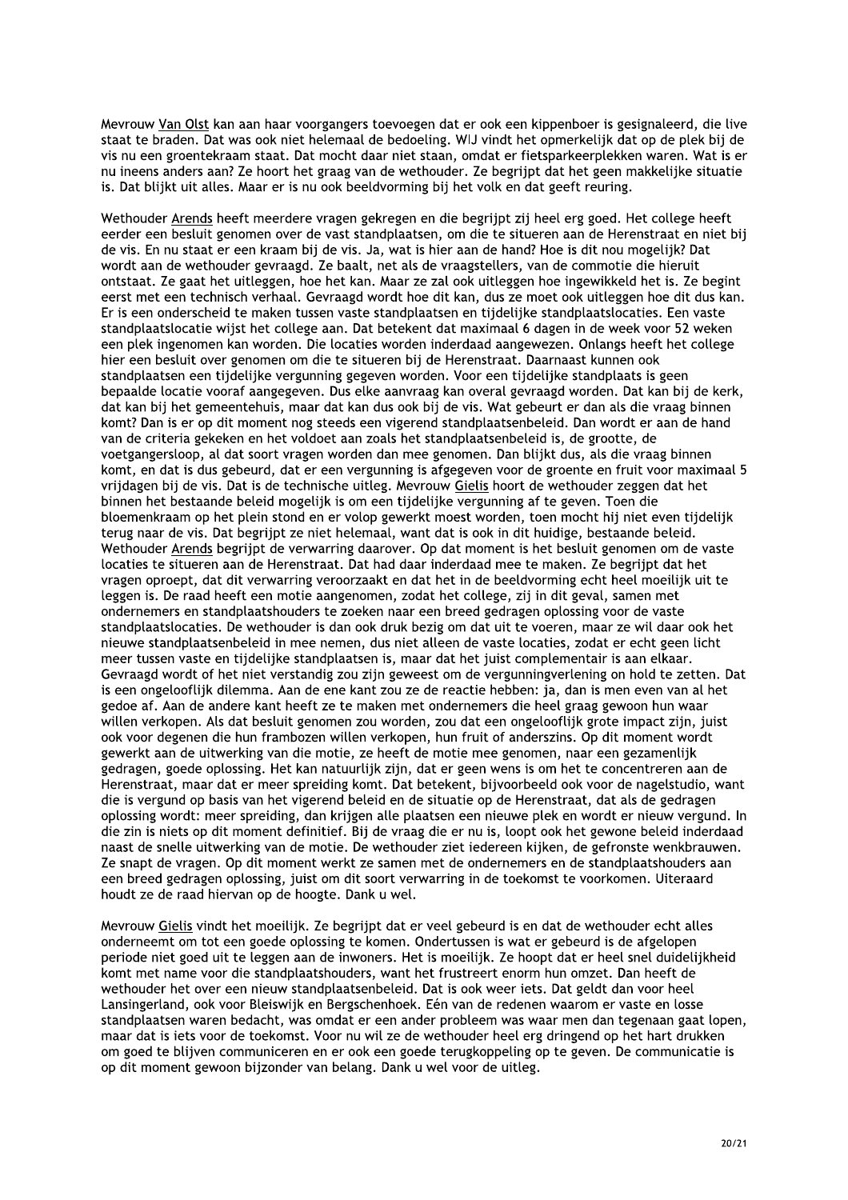Meyrouw Van Olst kan aan haar voorgangers toevoegen dat er ook een kippenboer is gesignaleerd, die live staat te braden. Dat was ook niet helemaal de bedoeling. WIJ vindt het opmerkelijk dat op de plek bij de vis nu een groentekraam staat. Dat mocht daar niet staan, omdat er fietsparkeerplekken waren. Wat is er nu ineens anders aan? Ze hoort het graag van de wethouder. Ze begrijpt dat het geen makkelijke situatie is. Dat blijkt uit alles. Maar er is nu ook beeldvorming bij het volk en dat geeft reuring.

Wethouder Arends heeft meerdere vragen gekregen en die begrijpt zij heel erg goed. Het college heeft eerder een besluit genomen over de vast standplaatsen, om die te situeren aan de Herenstraat en niet bij de vis. En nu staat er een kraam bij de vis. Ja, wat is hier aan de hand? Hoe is dit nou mogelijk? Dat wordt aan de wethouder gevraagd. Ze baalt, net als de vraagstellers, van de commotie die hieruit ontstaat. Ze gaat het uitleggen, hoe het kan. Maar ze zal ook uitleggen hoe ingewikkeld het is. Ze begint eerst met een technisch verhaal. Gevraagd wordt hoe dit kan, dus ze moet ook uitleggen hoe dit dus kan. Er is een onderscheid te maken tussen vaste standplaatsen en tijdelijke standplaatslocaties. Een vaste standplaatslocatie wijst het college aan. Dat betekent dat maximaal 6 dagen in de week voor 52 weken een plek ingenomen kan worden. Die locaties worden inderdaad aangewezen. Onlangs heeft het college hier een besluit over genomen om die te situeren bij de Herenstraat. Daarnaast kunnen ook standplaatsen een tijdelijke vergunning gegeven worden. Voor een tijdelijke standplaats is geen bepaalde locatie vooraf aangegeven. Dus elke aanvraag kan overal gevraagd worden. Dat kan bij de kerk, dat kan bij het gemeentehuis, maar dat kan dus ook bij de vis. Wat gebeurt er dan als die vraag binnen komt? Dan is er op dit moment nog steeds een vigerend standplaatsenbeleid. Dan wordt er aan de hand van de criteria gekeken en het voldoet aan zoals het standplaatsenbeleid is, de grootte, de voetgangersloop, al dat soort vragen worden dan mee genomen. Dan blijkt dus, als die vraag binnen komt, en dat is dus gebeurd, dat er een vergunning is afgegeven voor de groente en fruit voor maximaal 5 vrijdagen bij de vis. Dat is de technische uitleg. Mevrouw Gielis hoort de wethouder zeggen dat het binnen het bestaande beleid mogelijk is om een tijdelijke vergunning af te geven. Toen die bloemenkraam op het plein stond en er volop gewerkt moest worden, toen mocht hij niet even tijdelijk terug naar de vis. Dat begrijpt ze niet helemaal, want dat is ook in dit huidige, bestaande beleid. Wethouder Arends begrijpt de verwarring daarover. Op dat moment is het besluit genomen om de vaste locaties te situeren aan de Herenstraat. Dat had daar inderdaad mee te maken. Ze begrijpt dat het vragen oproept, dat dit verwarring veroorzaakt en dat het in de beeldvorming echt heel moeilijk uit te leggen is. De raad heeft een motie aangenomen, zodat het college, zij in dit geval, samen met ondernemers en standplaatshouders te zoeken naar een breed gedragen oplossing voor de vaste standplaatslocaties. De wethouder is dan ook druk bezig om dat uit te voeren, maar ze wil daar ook het nieuwe standplaatsenbeleid in mee nemen, dus niet alleen de vaste locaties, zodat er echt geen licht meer tussen vaste en tijdelijke standplaatsen is, maar dat het juist complementair is aan elkaar. Gevraagd wordt of het niet verstandig zou zijn geweest om de vergunningverlening on hold te zetten. Dat is een ongelooflijk dilemma. Aan de ene kant zou ze de reactie hebben: ja, dan is men even van al het gedoe af. Aan de andere kant heeft ze te maken met ondernemers die heel graag gewoon hun waar willen verkopen. Als dat besluit genomen zou worden, zou dat een ongelooflijk grote impact zijn, juist ook voor degenen die hun frambozen willen verkopen, hun fruit of anderszins. Op dit moment wordt gewerkt aan de uitwerking van die motie, ze heeft de motie mee genomen, naar een gezamenlijk gedragen, goede oplossing. Het kan natuurlijk zijn, dat er geen wens is om het te concentreren aan de Herenstraat, maar dat er meer spreiding komt. Dat betekent, bijvoorbeeld ook voor de nagelstudio, want die is vergund op basis van het vigerend beleid en de situatie op de Herenstraat, dat als de gedragen oplossing wordt: meer spreiding, dan krijgen alle plaatsen een nieuwe plek en wordt er nieuw vergund. In die zin is niets op dit moment definitief. Bij de vraag die er nu is, loopt ook het gewone beleid inderdaad naast de snelle uitwerking van de motie. De wethouder ziet iedereen kijken, de gefronste wenkbrauwen. Ze snapt de vragen. Op dit moment werkt ze samen met de ondernemers en de standplaatshouders aan een breed gedragen oplossing, juist om dit soort verwarring in de toekomst te voorkomen. Uiteraard houdt ze de raad hiervan op de hoogte. Dank u wel.

Mevrouw Gielis vindt het moeilijk. Ze begrijpt dat er veel gebeurd is en dat de wethouder echt alles onderneemt om tot een goede oplossing te komen. Ondertussen is wat er gebeurd is de afgelopen periode niet goed uit te leggen aan de inwoners. Het is moeilijk. Ze hoopt dat er heel snel duidelijkheid komt met name voor die standplaatshouders, want het frustreert enorm hun omzet. Dan heeft de wethouder het over een nieuw standplaatsenbeleid. Dat is ook weer iets. Dat geldt dan voor heel Lansingerland, ook voor Bleiswijk en Bergschenhoek. Eén van de redenen waarom er vaste en losse standplaatsen waren bedacht, was omdat er een ander probleem was waar men dan tegenaan gaat lopen, maar dat is iets voor de toekomst. Voor nu wil ze de wethouder heel erg dringend op het hart drukken om goed te blijven communiceren en er ook een goede terugkoppeling op te geven. De communicatie is op dit moment gewoon bijzonder van belang. Dank u wel voor de uitleg.